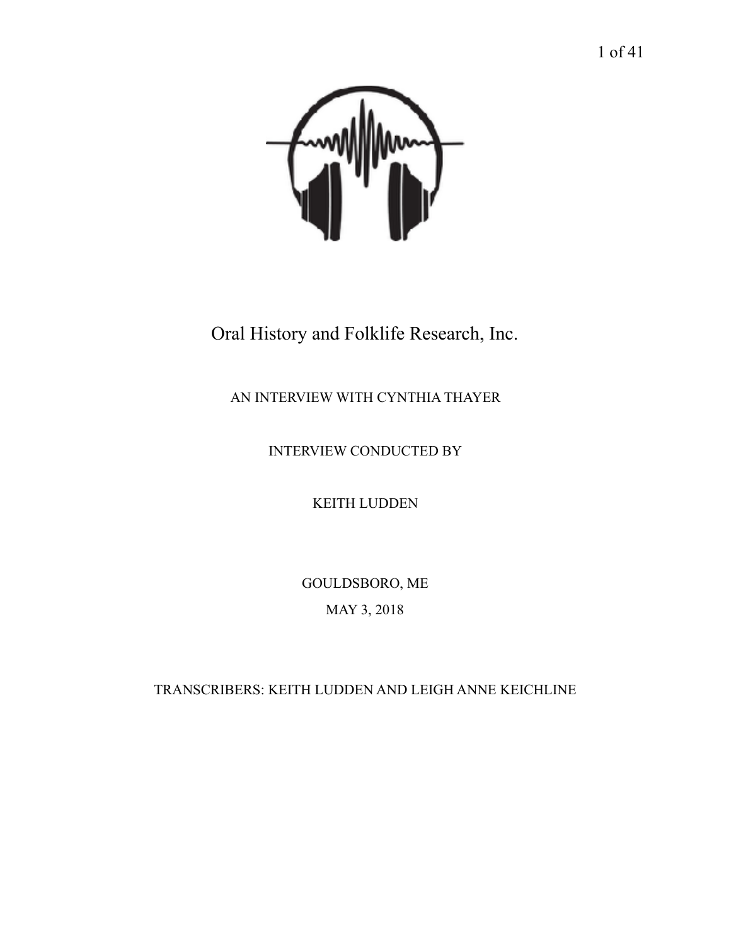

Oral History and Folklife Research, Inc.

AN INTERVIEW WITH CYNTHIA THAYER

INTERVIEW CONDUCTED BY

KEITH LUDDEN

GOULDSBORO, ME MAY 3, 2018

TRANSCRIBERS: KEITH LUDDEN AND LEIGH ANNE KEICHLINE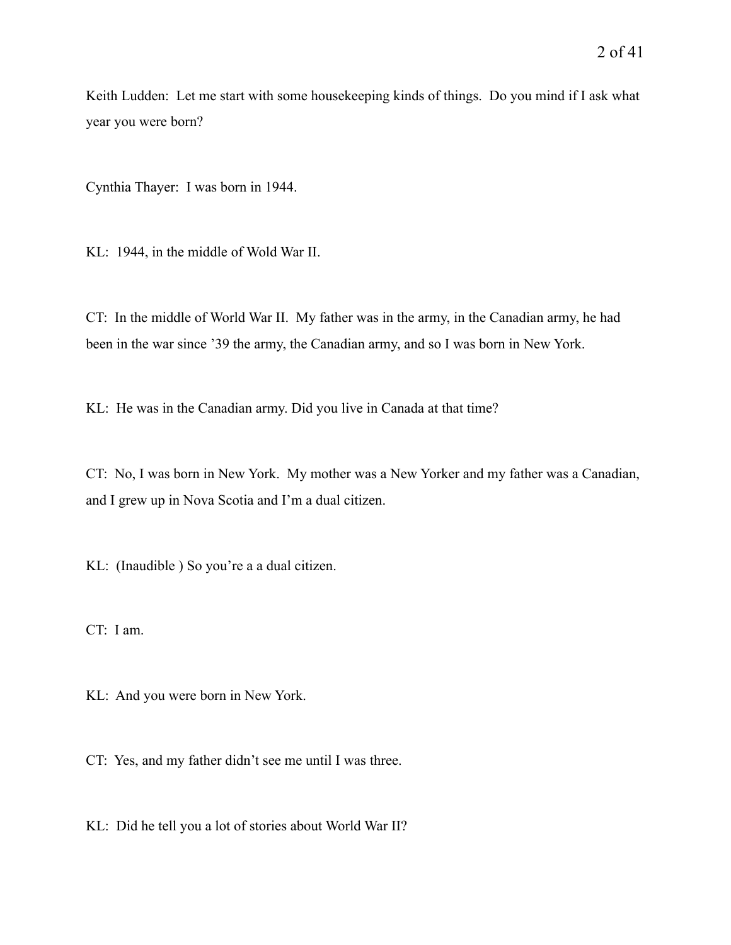Keith Ludden: Let me start with some housekeeping kinds of things. Do you mind if I ask what year you were born?

Cynthia Thayer: I was born in 1944.

KL: 1944, in the middle of Wold War II.

CT: In the middle of World War II. My father was in the army, in the Canadian army, he had been in the war since '39 the army, the Canadian army, and so I was born in New York.

KL: He was in the Canadian army. Did you live in Canada at that time?

CT: No, I was born in New York. My mother was a New Yorker and my father was a Canadian, and I grew up in Nova Scotia and I'm a dual citizen.

KL: (Inaudible ) So you're a a dual citizen.

CT: I am.

KL: And you were born in New York.

CT: Yes, and my father didn't see me until I was three.

KL: Did he tell you a lot of stories about World War II?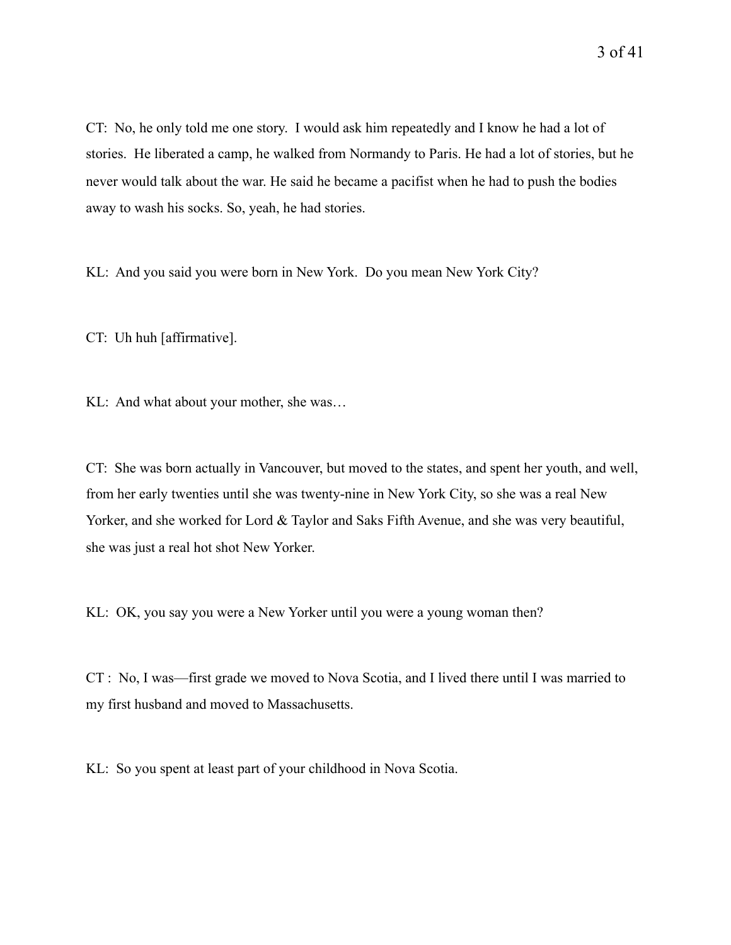CT: No, he only told me one story. I would ask him repeatedly and I know he had a lot of

stories. He liberated a camp, he walked from Normandy to Paris. He had a lot of stories, but he never would talk about the war. He said he became a pacifist when he had to push the bodies away to wash his socks. So, yeah, he had stories.

KL: And you said you were born in New York. Do you mean New York City?

CT: Uh huh [affirmative].

KL: And what about your mother, she was…

CT: She was born actually in Vancouver, but moved to the states, and spent her youth, and well, from her early twenties until she was twenty-nine in New York City, so she was a real New Yorker, and she worked for Lord & Taylor and Saks Fifth Avenue, and she was very beautiful, she was just a real hot shot New Yorker.

KL: OK, you say you were a New Yorker until you were a young woman then?

CT : No, I was—first grade we moved to Nova Scotia, and I lived there until I was married to my first husband and moved to Massachusetts.

KL: So you spent at least part of your childhood in Nova Scotia.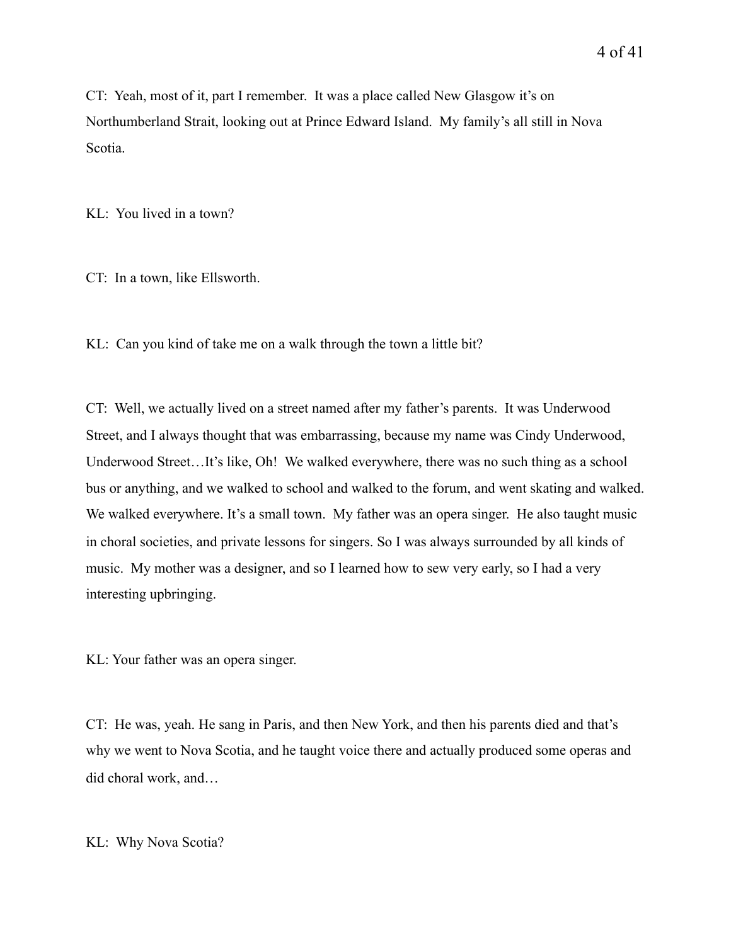CT: Yeah, most of it, part I remember. It was a place called New Glasgow it's on Northumberland Strait, looking out at Prince Edward Island. My family's all still in Nova Scotia.

KL: You lived in a town?

CT: In a town, like Ellsworth.

KL: Can you kind of take me on a walk through the town a little bit?

CT: Well, we actually lived on a street named after my father's parents. It was Underwood Street, and I always thought that was embarrassing, because my name was Cindy Underwood, Underwood Street…It's like, Oh! We walked everywhere, there was no such thing as a school bus or anything, and we walked to school and walked to the forum, and went skating and walked. We walked everywhere. It's a small town. My father was an opera singer. He also taught music in choral societies, and private lessons for singers. So I was always surrounded by all kinds of music. My mother was a designer, and so I learned how to sew very early, so I had a very interesting upbringing.

KL: Your father was an opera singer.

CT: He was, yeah. He sang in Paris, and then New York, and then his parents died and that's why we went to Nova Scotia, and he taught voice there and actually produced some operas and did choral work, and…

KL: Why Nova Scotia?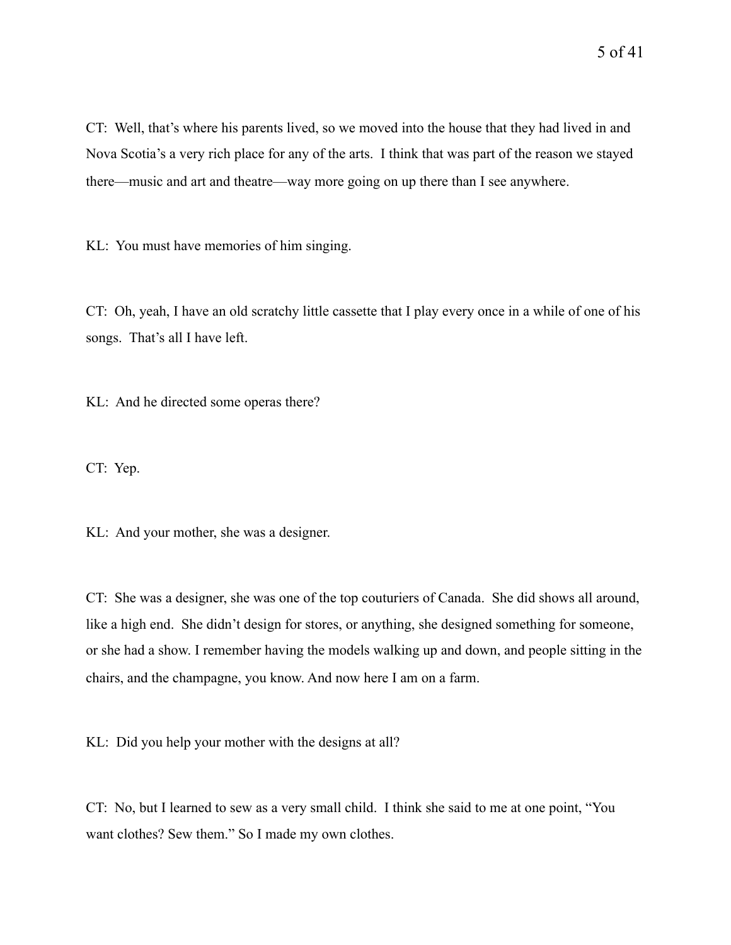KL: You must have memories of him singing.

CT: Oh, yeah, I have an old scratchy little cassette that I play every once in a while of one of his songs. That's all I have left.

KL: And he directed some operas there?

CT: Yep.

KL: And your mother, she was a designer.

CT: She was a designer, she was one of the top couturiers of Canada. She did shows all around, like a high end. She didn't design for stores, or anything, she designed something for someone, or she had a show. I remember having the models walking up and down, and people sitting in the chairs, and the champagne, you know. And now here I am on a farm.

KL: Did you help your mother with the designs at all?

CT: No, but I learned to sew as a very small child. I think she said to me at one point, "You want clothes? Sew them." So I made my own clothes.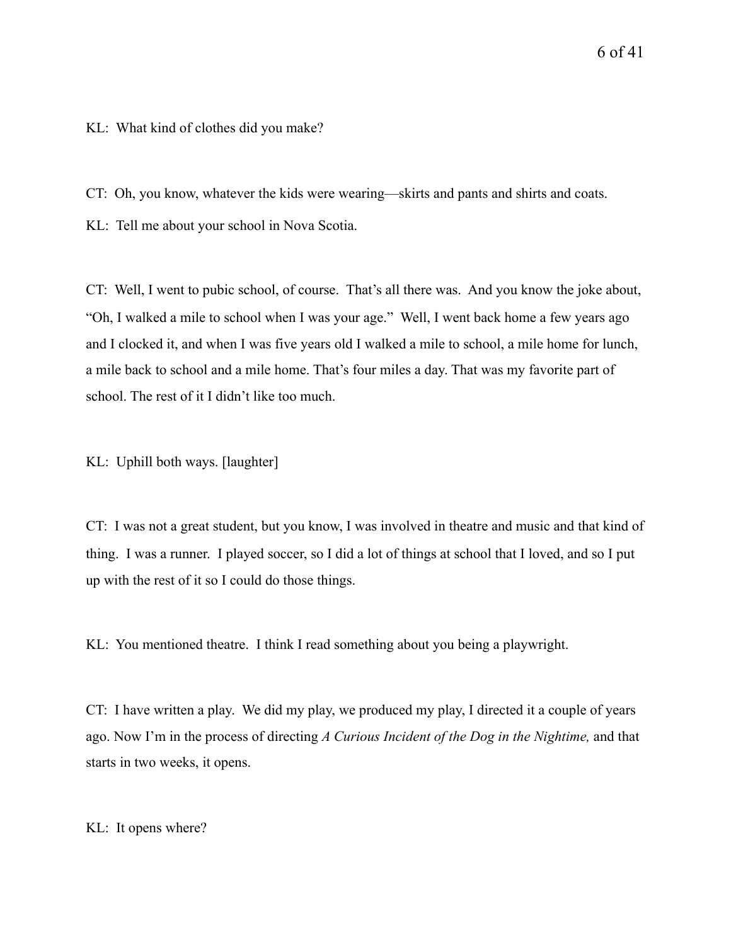## KL: What kind of clothes did you make?

CT: Oh, you know, whatever the kids were wearing—skirts and pants and shirts and coats.

KL: Tell me about your school in Nova Scotia.

CT: Well, I went to pubic school, of course. That's all there was. And you know the joke about, "Oh, I walked a mile to school when I was your age." Well, I went back home a few years ago and I clocked it, and when I was five years old I walked a mile to school, a mile home for lunch, a mile back to school and a mile home. That's four miles a day. That was my favorite part of school. The rest of it I didn't like too much.

KL: Uphill both ways. [laughter]

CT: I was not a great student, but you know, I was involved in theatre and music and that kind of thing. I was a runner. I played soccer, so I did a lot of things at school that I loved, and so I put up with the rest of it so I could do those things.

KL: You mentioned theatre. I think I read something about you being a playwright.

CT: I have written a play. We did my play, we produced my play, I directed it a couple of years ago. Now I'm in the process of directing *A Curious Incident of the Dog in the Nightime,* and that starts in two weeks, it opens.

KL: It opens where?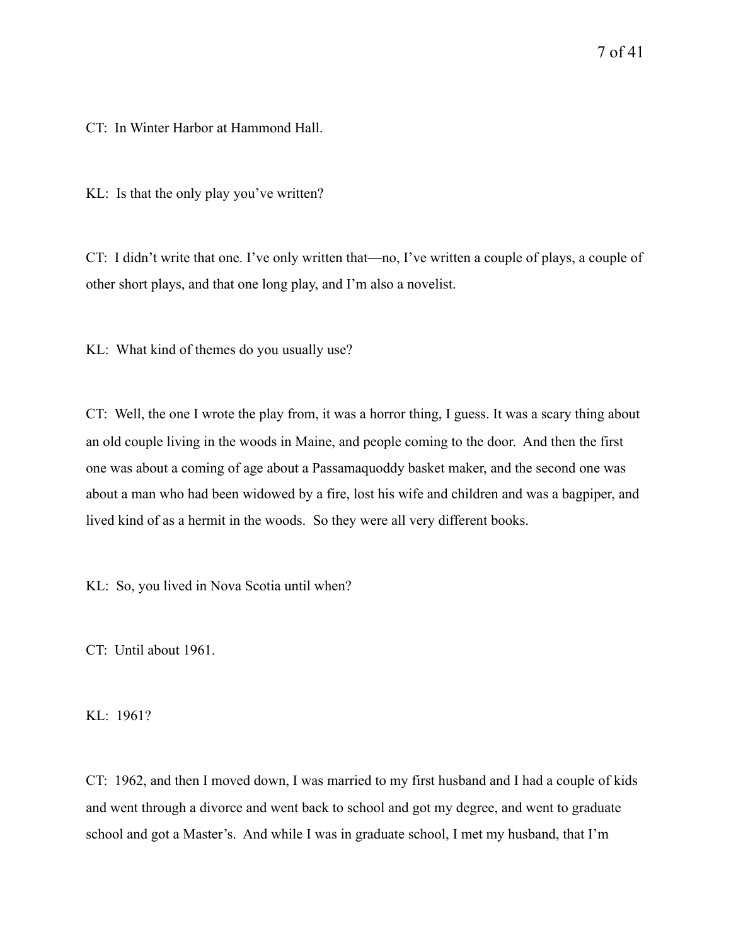CT: In Winter Harbor at Hammond Hall.

KL: Is that the only play you've written?

CT: I didn't write that one. I've only written that—no, I've written a couple of plays, a couple of other short plays, and that one long play, and I'm also a novelist.

KL: What kind of themes do you usually use?

CT: Well, the one I wrote the play from, it was a horror thing, I guess. It was a scary thing about an old couple living in the woods in Maine, and people coming to the door. And then the first one was about a coming of age about a Passamaquoddy basket maker, and the second one was about a man who had been widowed by a fire, lost his wife and children and was a bagpiper, and lived kind of as a hermit in the woods. So they were all very different books.

KL: So, you lived in Nova Scotia until when?

CT: Until about 1961.

KL: 1961?

CT: 1962, and then I moved down, I was married to my first husband and I had a couple of kids and went through a divorce and went back to school and got my degree, and went to graduate school and got a Master's. And while I was in graduate school, I met my husband, that I'm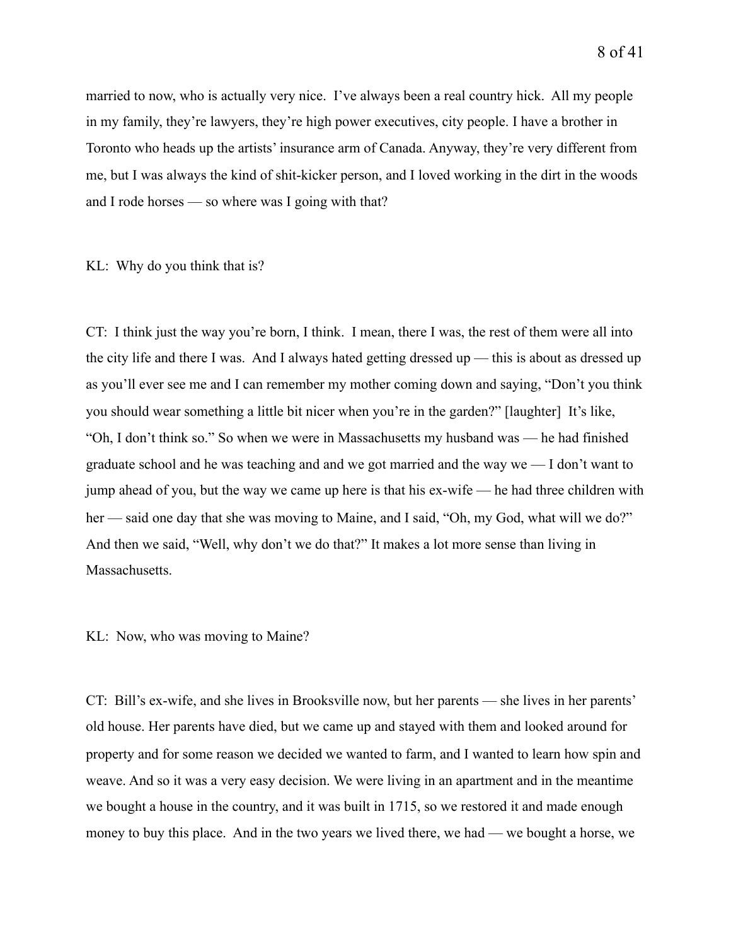married to now, who is actually very nice. I've always been a real country hick. All my people in my family, they're lawyers, they're high power executives, city people. I have a brother in Toronto who heads up the artists' insurance arm of Canada. Anyway, they're very different from me, but I was always the kind of shit-kicker person, and I loved working in the dirt in the woods and I rode horses — so where was I going with that?

#### KL: Why do you think that is?

CT: I think just the way you're born, I think. I mean, there I was, the rest of them were all into the city life and there I was. And I always hated getting dressed up — this is about as dressed up as you'll ever see me and I can remember my mother coming down and saying, "Don't you think you should wear something a little bit nicer when you're in the garden?" [laughter] It's like, "Oh, I don't think so." So when we were in Massachusetts my husband was — he had finished graduate school and he was teaching and and we got married and the way we — I don't want to jump ahead of you, but the way we came up here is that his ex-wife — he had three children with her — said one day that she was moving to Maine, and I said, "Oh, my God, what will we do?" And then we said, "Well, why don't we do that?" It makes a lot more sense than living in Massachusetts.

#### KL: Now, who was moving to Maine?

CT: Bill's ex-wife, and she lives in Brooksville now, but her parents — she lives in her parents' old house. Her parents have died, but we came up and stayed with them and looked around for property and for some reason we decided we wanted to farm, and I wanted to learn how spin and weave. And so it was a very easy decision. We were living in an apartment and in the meantime we bought a house in the country, and it was built in 1715, so we restored it and made enough money to buy this place. And in the two years we lived there, we had — we bought a horse, we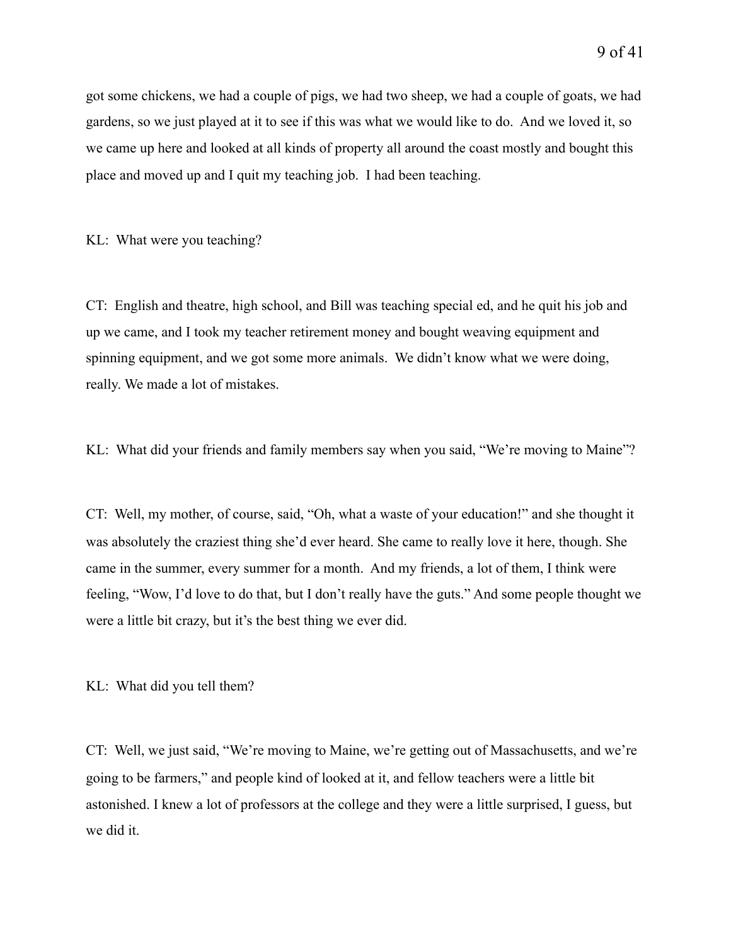got some chickens, we had a couple of pigs, we had two sheep, we had a couple of goats, we had gardens, so we just played at it to see if this was what we would like to do. And we loved it, so we came up here and looked at all kinds of property all around the coast mostly and bought this place and moved up and I quit my teaching job. I had been teaching.

KL: What were you teaching?

CT: English and theatre, high school, and Bill was teaching special ed, and he quit his job and up we came, and I took my teacher retirement money and bought weaving equipment and spinning equipment, and we got some more animals. We didn't know what we were doing, really. We made a lot of mistakes.

KL: What did your friends and family members say when you said, "We're moving to Maine"?

CT: Well, my mother, of course, said, "Oh, what a waste of your education!" and she thought it was absolutely the craziest thing she'd ever heard. She came to really love it here, though. She came in the summer, every summer for a month. And my friends, a lot of them, I think were feeling, "Wow, I'd love to do that, but I don't really have the guts." And some people thought we were a little bit crazy, but it's the best thing we ever did.

KL: What did you tell them?

CT: Well, we just said, "We're moving to Maine, we're getting out of Massachusetts, and we're going to be farmers," and people kind of looked at it, and fellow teachers were a little bit astonished. I knew a lot of professors at the college and they were a little surprised, I guess, but we did it.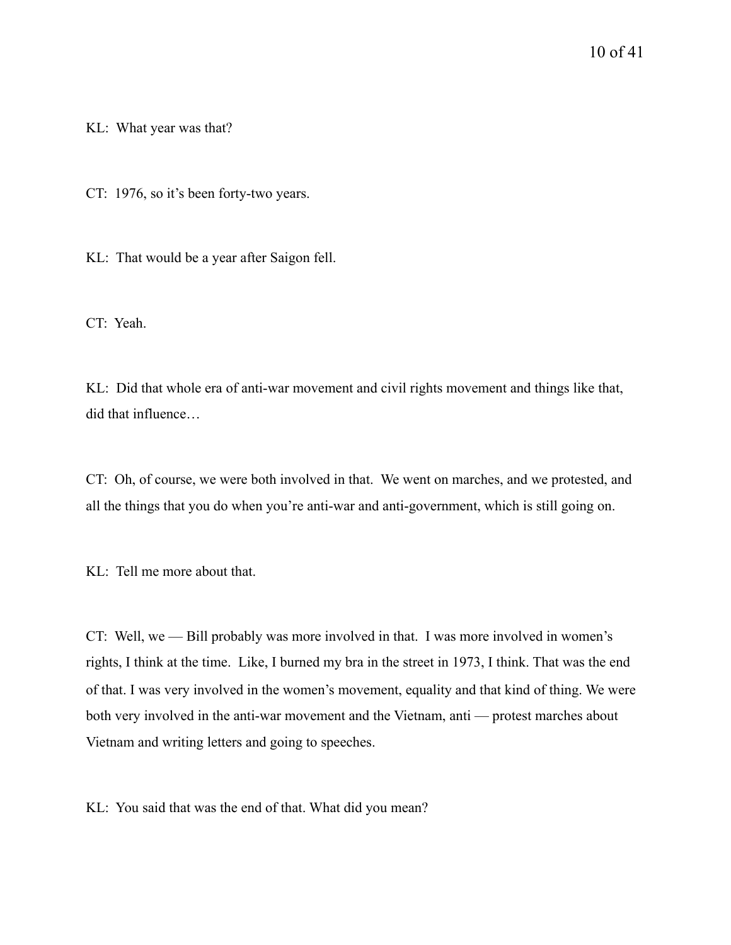KL: What year was that?

CT: 1976, so it's been forty-two years.

KL: That would be a year after Saigon fell.

CT: Yeah.

KL: Did that whole era of anti-war movement and civil rights movement and things like that, did that influence…

CT: Oh, of course, we were both involved in that. We went on marches, and we protested, and all the things that you do when you're anti-war and anti-government, which is still going on.

KL: Tell me more about that.

CT: Well, we — Bill probably was more involved in that. I was more involved in women's rights, I think at the time. Like, I burned my bra in the street in 1973, I think. That was the end of that. I was very involved in the women's movement, equality and that kind of thing. We were both very involved in the anti-war movement and the Vietnam, anti — protest marches about Vietnam and writing letters and going to speeches.

KL: You said that was the end of that. What did you mean?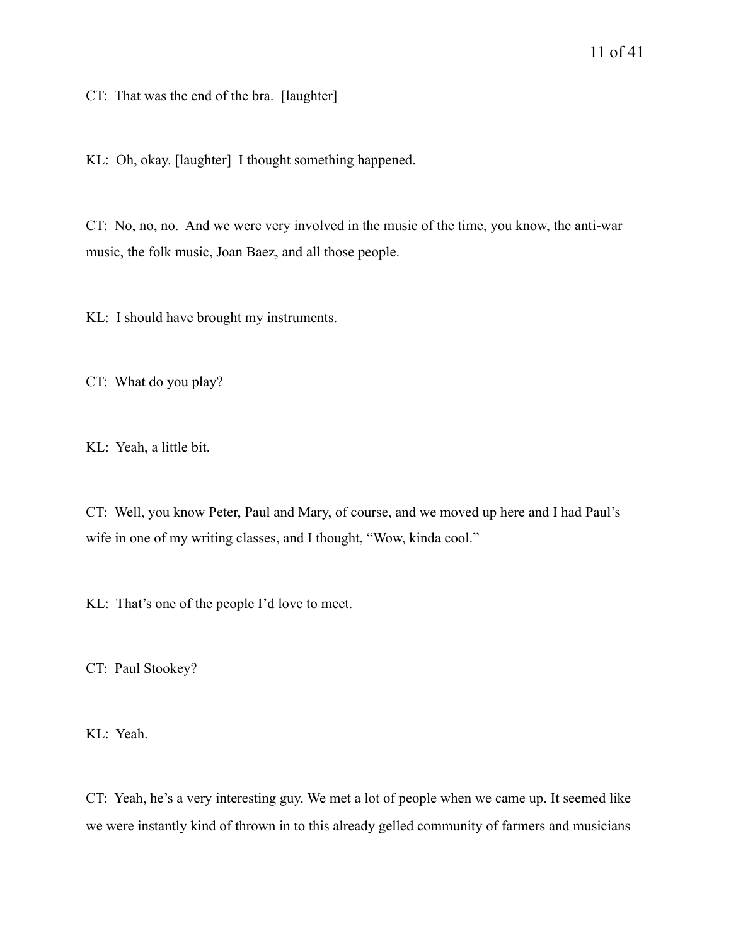CT: That was the end of the bra. [laughter]

KL: Oh, okay. [laughter] I thought something happened.

CT: No, no, no. And we were very involved in the music of the time, you know, the anti-war music, the folk music, Joan Baez, and all those people.

KL: I should have brought my instruments.

CT: What do you play?

KL: Yeah, a little bit.

CT: Well, you know Peter, Paul and Mary, of course, and we moved up here and I had Paul's wife in one of my writing classes, and I thought, "Wow, kinda cool."

KL: That's one of the people I'd love to meet.

CT: Paul Stookey?

KL: Yeah.

CT: Yeah, he's a very interesting guy. We met a lot of people when we came up. It seemed like we were instantly kind of thrown in to this already gelled community of farmers and musicians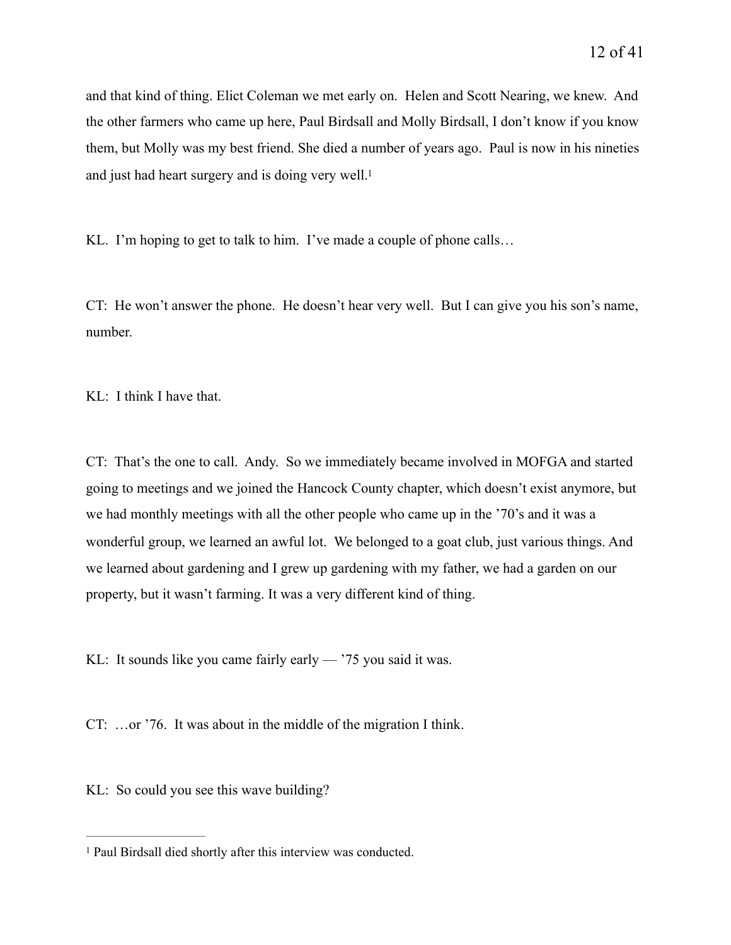and that kind of thing. Elict Coleman we met early on. Helen and Scott Nearing, we knew. And the other farmers who came up here, Paul Birdsall and Molly Birdsall, I don't know if you know them, but Molly was my best friend. She died a number of years ago. Paul is now in his nineties and just had heart surgery and is doing very well[.](#page-11-0)<sup>[1](#page-11-0)</sup>

<span id="page-11-1"></span>KL. I'm hoping to get to talk to him. I've made a couple of phone calls...

CT: He won't answer the phone. He doesn't hear very well. But I can give you his son's name, number.

KL: I think I have that.

CT: That's the one to call. Andy. So we immediately became involved in MOFGA and started going to meetings and we joined the Hancock County chapter, which doesn't exist anymore, but we had monthly meetings with all the other people who came up in the '70's and it was a wonderful group, we learned an awful lot. We belonged to a goat club, just various things. And we learned about gardening and I grew up gardening with my father, we had a garden on our property, but it wasn't farming. It was a very different kind of thing.

KL: It sounds like you came fairly early — '75 you said it was.

CT: …or '76. It was about in the middle of the migration I think.

KL: So could you see this wave building?

<span id="page-11-0"></span><sup>&</sup>lt;sup>1</sup>Paul Birdsall died shortly after this interview was conducted.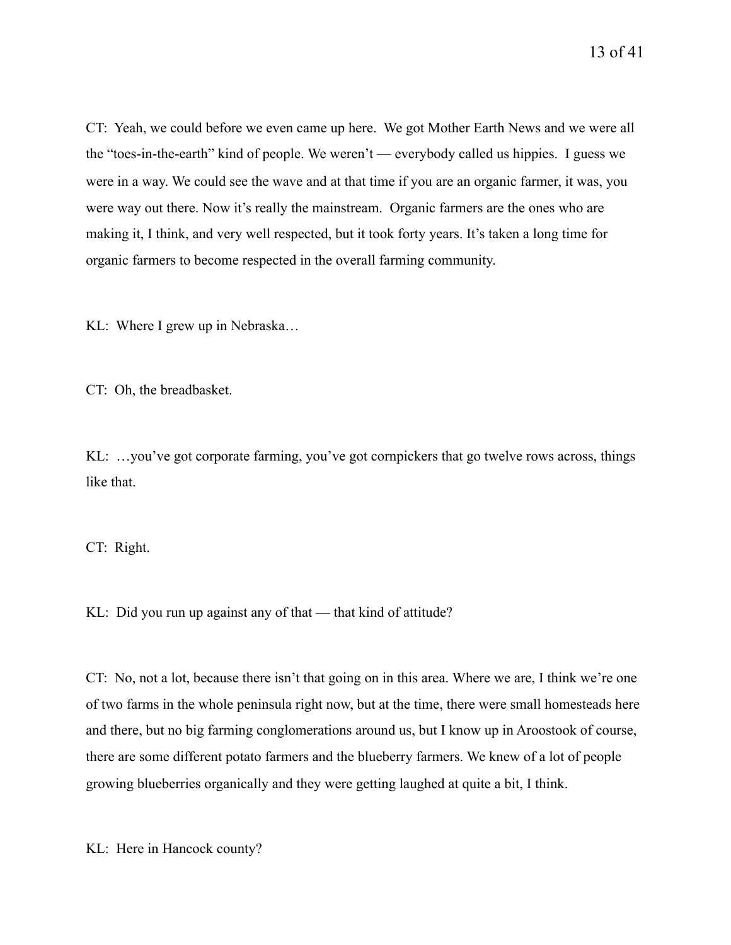CT: Yeah, we could before we even came up here. We got Mother Earth News and we were all the "toes-in-the-earth" kind of people. We weren't — everybody called us hippies. I guess we were in a way. We could see the wave and at that time if you are an organic farmer, it was, you were way out there. Now it's really the mainstream. Organic farmers are the ones who are making it, I think, and very well respected, but it took forty years. It's taken a long time for organic farmers to become respected in the overall farming community.

KL: Where I grew up in Nebraska…

CT: Oh, the breadbasket.

KL: …you've got corporate farming, you've got cornpickers that go twelve rows across, things like that.

CT: Right.

KL: Did you run up against any of that — that kind of attitude?

CT: No, not a lot, because there isn't that going on in this area. Where we are, I think we're one of two farms in the whole peninsula right now, but at the time, there were small homesteads here and there, but no big farming conglomerations around us, but I know up in Aroostook of course, there are some different potato farmers and the blueberry farmers. We knew of a lot of people growing blueberries organically and they were getting laughed at quite a bit, I think.

KL: Here in Hancock county?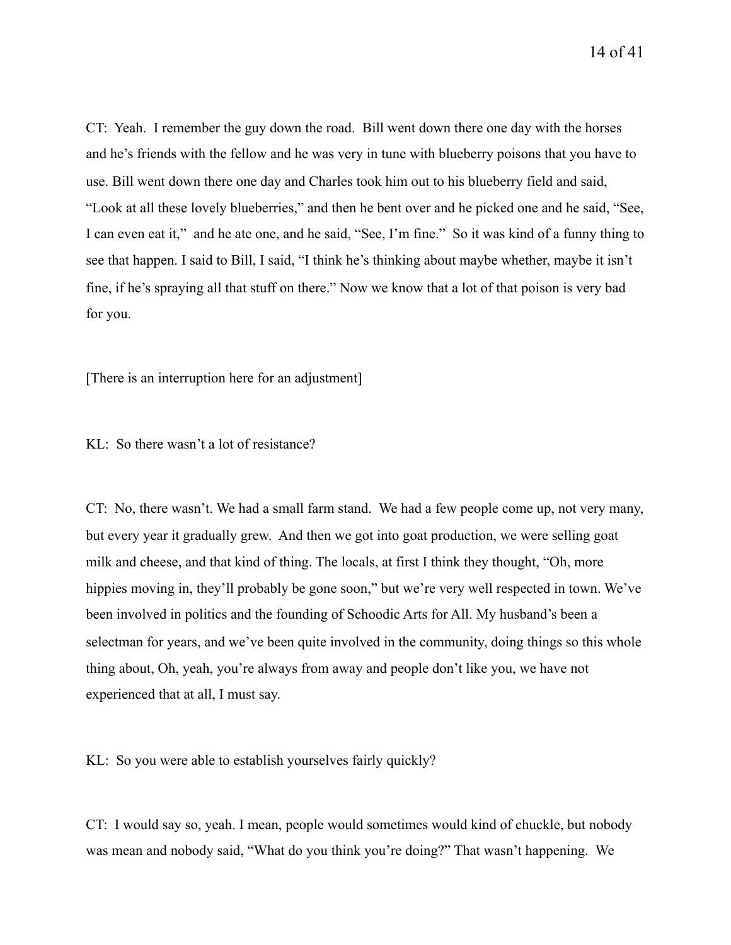CT: Yeah. I remember the guy down the road. Bill went down there one day with the horses and he's friends with the fellow and he was very in tune with blueberry poisons that you have to use. Bill went down there one day and Charles took him out to his blueberry field and said, "Look at all these lovely blueberries," and then he bent over and he picked one and he said, "See, I can even eat it," and he ate one, and he said, "See, I'm fine." So it was kind of a funny thing to see that happen. I said to Bill, I said, "I think he's thinking about maybe whether, maybe it isn't fine, if he's spraying all that stuff on there." Now we know that a lot of that poison is very bad for you.

[There is an interruption here for an adjustment]

KL: So there wasn't a lot of resistance?

CT: No, there wasn't. We had a small farm stand. We had a few people come up, not very many, but every year it gradually grew. And then we got into goat production, we were selling goat milk and cheese, and that kind of thing. The locals, at first I think they thought, "Oh, more hippies moving in, they'll probably be gone soon," but we're very well respected in town. We've been involved in politics and the founding of Schoodic Arts for All. My husband's been a selectman for years, and we've been quite involved in the community, doing things so this whole thing about, Oh, yeah, you're always from away and people don't like you, we have not experienced that at all, I must say.

KL: So you were able to establish yourselves fairly quickly?

CT: I would say so, yeah. I mean, people would sometimes would kind of chuckle, but nobody was mean and nobody said, "What do you think you're doing?" That wasn't happening. We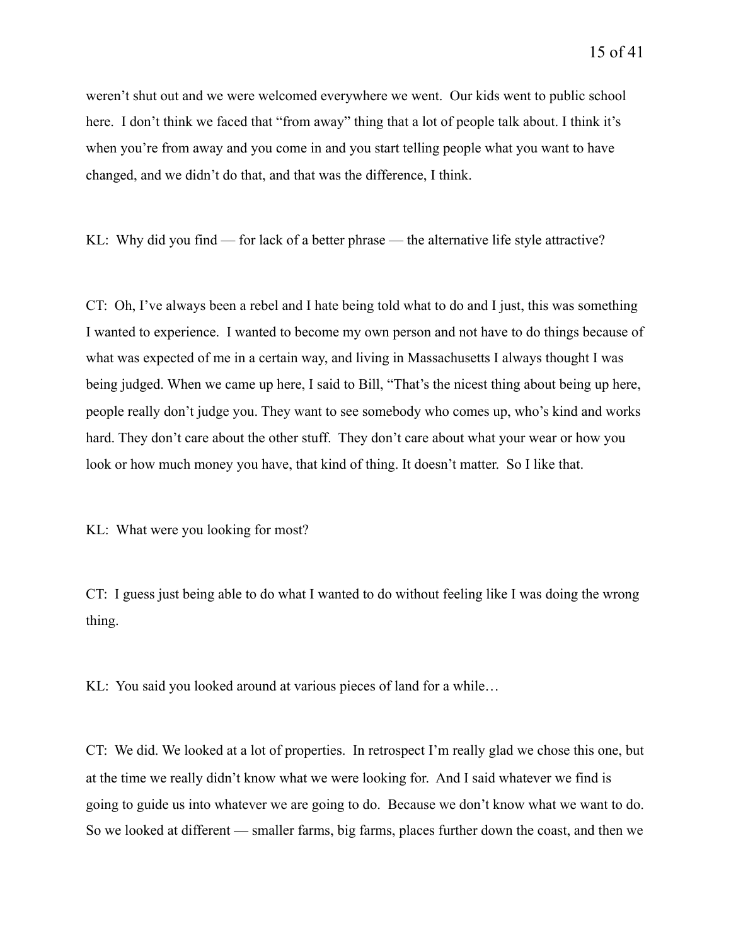weren't shut out and we were welcomed everywhere we went. Our kids went to public school here. I don't think we faced that "from away" thing that a lot of people talk about. I think it's when you're from away and you come in and you start telling people what you want to have changed, and we didn't do that, and that was the difference, I think.

KL: Why did you find — for lack of a better phrase — the alternative life style attractive?

CT: Oh, I've always been a rebel and I hate being told what to do and I just, this was something I wanted to experience. I wanted to become my own person and not have to do things because of what was expected of me in a certain way, and living in Massachusetts I always thought I was being judged. When we came up here, I said to Bill, "That's the nicest thing about being up here, people really don't judge you. They want to see somebody who comes up, who's kind and works hard. They don't care about the other stuff. They don't care about what your wear or how you look or how much money you have, that kind of thing. It doesn't matter. So I like that.

KL: What were you looking for most?

CT: I guess just being able to do what I wanted to do without feeling like I was doing the wrong thing.

KL: You said you looked around at various pieces of land for a while…

CT: We did. We looked at a lot of properties. In retrospect I'm really glad we chose this one, but at the time we really didn't know what we were looking for. And I said whatever we find is going to guide us into whatever we are going to do. Because we don't know what we want to do. So we looked at different — smaller farms, big farms, places further down the coast, and then we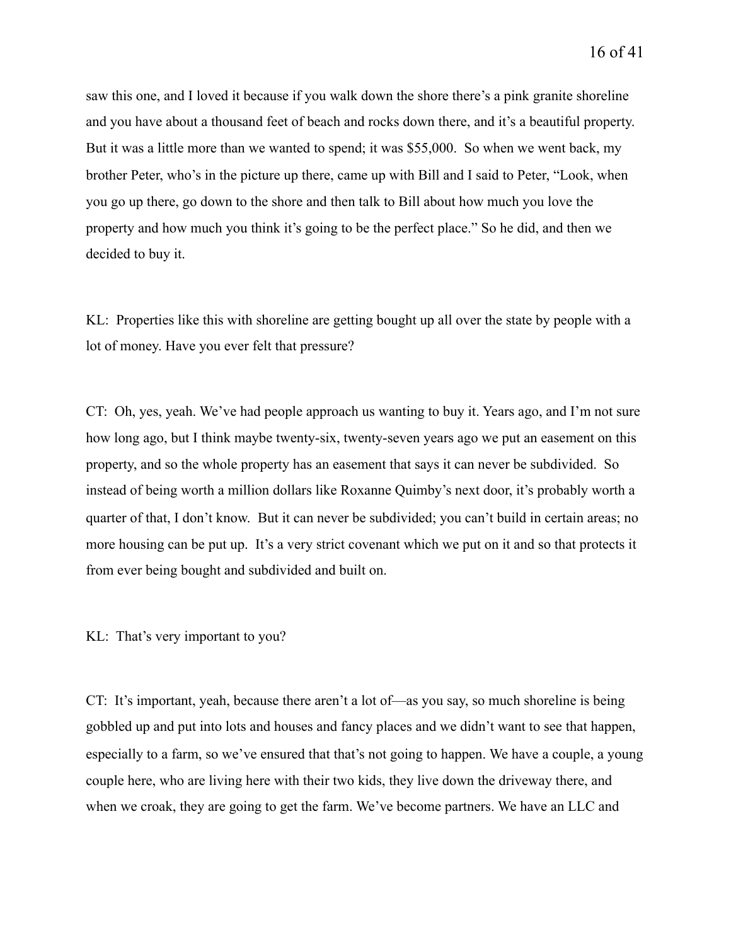saw this one, and I loved it because if you walk down the shore there's a pink granite shoreline and you have about a thousand feet of beach and rocks down there, and it's a beautiful property. But it was a little more than we wanted to spend; it was \$55,000. So when we went back, my brother Peter, who's in the picture up there, came up with Bill and I said to Peter, "Look, when you go up there, go down to the shore and then talk to Bill about how much you love the property and how much you think it's going to be the perfect place." So he did, and then we decided to buy it.

KL: Properties like this with shoreline are getting bought up all over the state by people with a lot of money. Have you ever felt that pressure?

CT: Oh, yes, yeah. We've had people approach us wanting to buy it. Years ago, and I'm not sure how long ago, but I think maybe twenty-six, twenty-seven years ago we put an easement on this property, and so the whole property has an easement that says it can never be subdivided. So instead of being worth a million dollars like Roxanne Quimby's next door, it's probably worth a quarter of that, I don't know. But it can never be subdivided; you can't build in certain areas; no more housing can be put up. It's a very strict covenant which we put on it and so that protects it from ever being bought and subdivided and built on.

KL: That's very important to you?

CT: It's important, yeah, because there aren't a lot of—as you say, so much shoreline is being gobbled up and put into lots and houses and fancy places and we didn't want to see that happen, especially to a farm, so we've ensured that that's not going to happen. We have a couple, a young couple here, who are living here with their two kids, they live down the driveway there, and when we croak, they are going to get the farm. We've become partners. We have an LLC and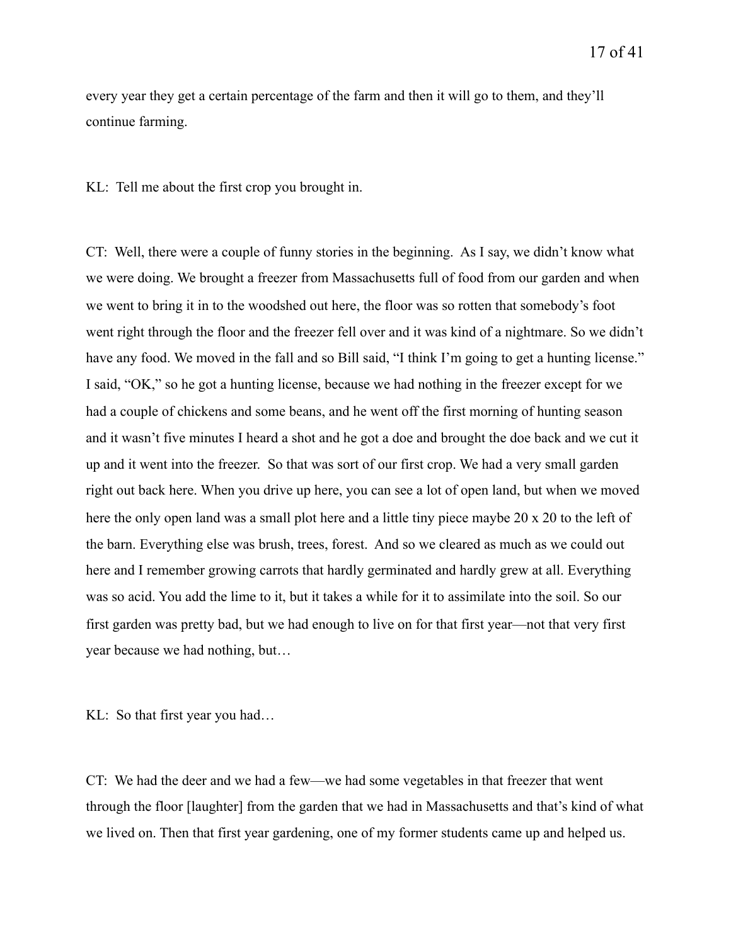every year they get a certain percentage of the farm and then it will go to them, and they'll continue farming.

KL: Tell me about the first crop you brought in.

CT: Well, there were a couple of funny stories in the beginning. As I say, we didn't know what we were doing. We brought a freezer from Massachusetts full of food from our garden and when we went to bring it in to the woodshed out here, the floor was so rotten that somebody's foot went right through the floor and the freezer fell over and it was kind of a nightmare. So we didn't have any food. We moved in the fall and so Bill said, "I think I'm going to get a hunting license." I said, "OK," so he got a hunting license, because we had nothing in the freezer except for we had a couple of chickens and some beans, and he went off the first morning of hunting season and it wasn't five minutes I heard a shot and he got a doe and brought the doe back and we cut it up and it went into the freezer. So that was sort of our first crop. We had a very small garden right out back here. When you drive up here, you can see a lot of open land, but when we moved here the only open land was a small plot here and a little tiny piece maybe 20 x 20 to the left of the barn. Everything else was brush, trees, forest. And so we cleared as much as we could out here and I remember growing carrots that hardly germinated and hardly grew at all. Everything was so acid. You add the lime to it, but it takes a while for it to assimilate into the soil. So our first garden was pretty bad, but we had enough to live on for that first year—not that very first year because we had nothing, but…

KL: So that first year you had…

CT: We had the deer and we had a few—we had some vegetables in that freezer that went through the floor [laughter] from the garden that we had in Massachusetts and that's kind of what we lived on. Then that first year gardening, one of my former students came up and helped us.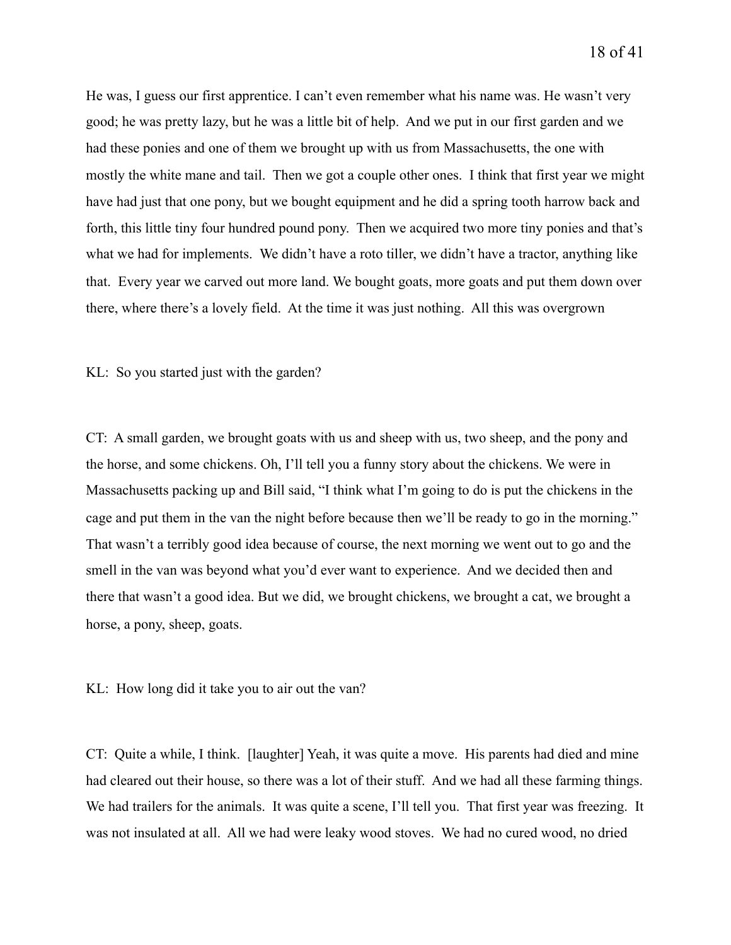He was, I guess our first apprentice. I can't even remember what his name was. He wasn't very good; he was pretty lazy, but he was a little bit of help. And we put in our first garden and we had these ponies and one of them we brought up with us from Massachusetts, the one with mostly the white mane and tail. Then we got a couple other ones. I think that first year we might have had just that one pony, but we bought equipment and he did a spring tooth harrow back and forth, this little tiny four hundred pound pony. Then we acquired two more tiny ponies and that's what we had for implements. We didn't have a roto tiller, we didn't have a tractor, anything like that. Every year we carved out more land. We bought goats, more goats and put them down over there, where there's a lovely field. At the time it was just nothing. All this was overgrown

KL: So you started just with the garden?

CT: A small garden, we brought goats with us and sheep with us, two sheep, and the pony and the horse, and some chickens. Oh, I'll tell you a funny story about the chickens. We were in Massachusetts packing up and Bill said, "I think what I'm going to do is put the chickens in the cage and put them in the van the night before because then we'll be ready to go in the morning." That wasn't a terribly good idea because of course, the next morning we went out to go and the smell in the van was beyond what you'd ever want to experience. And we decided then and there that wasn't a good idea. But we did, we brought chickens, we brought a cat, we brought a horse, a pony, sheep, goats.

KL: How long did it take you to air out the van?

CT: Quite a while, I think. [laughter] Yeah, it was quite a move. His parents had died and mine had cleared out their house, so there was a lot of their stuff. And we had all these farming things. We had trailers for the animals. It was quite a scene, I'll tell you. That first year was freezing. It was not insulated at all. All we had were leaky wood stoves. We had no cured wood, no dried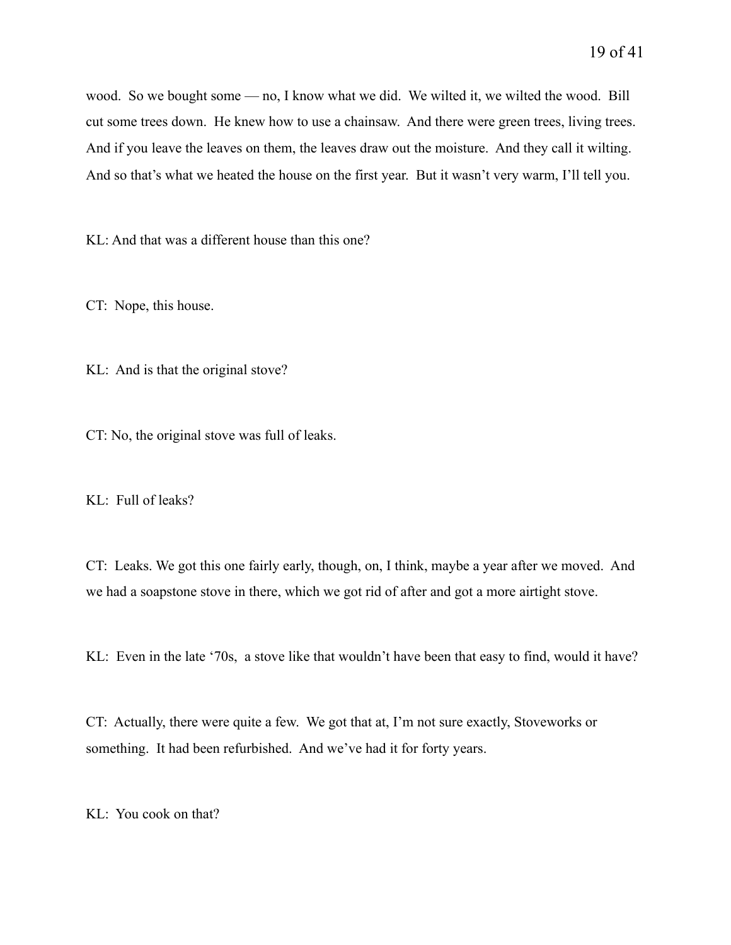wood. So we bought some — no, I know what we did. We wilted it, we wilted the wood. Bill cut some trees down. He knew how to use a chainsaw. And there were green trees, living trees. And if you leave the leaves on them, the leaves draw out the moisture. And they call it wilting. And so that's what we heated the house on the first year. But it wasn't very warm, I'll tell you.

KL: And that was a different house than this one?

CT: Nope, this house.

KL: And is that the original stove?

CT: No, the original stove was full of leaks.

KL: Full of leaks?

CT: Leaks. We got this one fairly early, though, on, I think, maybe a year after we moved. And we had a soapstone stove in there, which we got rid of after and got a more airtight stove.

KL: Even in the late '70s, a stove like that wouldn't have been that easy to find, would it have?

CT: Actually, there were quite a few. We got that at, I'm not sure exactly, Stoveworks or something. It had been refurbished. And we've had it for forty years.

KL: You cook on that?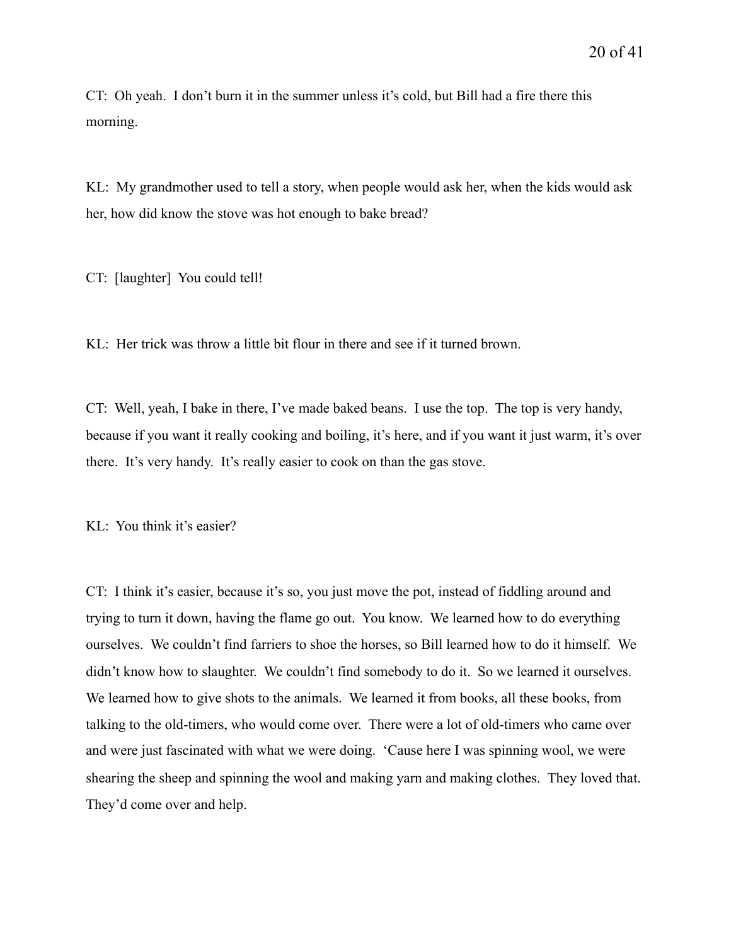CT: Oh yeah. I don't burn it in the summer unless it's cold, but Bill had a fire there this morning.

KL: My grandmother used to tell a story, when people would ask her, when the kids would ask her, how did know the stove was hot enough to bake bread?

CT: [laughter] You could tell!

KL: Her trick was throw a little bit flour in there and see if it turned brown.

CT: Well, yeah, I bake in there, I've made baked beans. I use the top. The top is very handy, because if you want it really cooking and boiling, it's here, and if you want it just warm, it's over there. It's very handy. It's really easier to cook on than the gas stove.

KL: You think it's easier?

CT: I think it's easier, because it's so, you just move the pot, instead of fiddling around and trying to turn it down, having the flame go out. You know. We learned how to do everything ourselves. We couldn't find farriers to shoe the horses, so Bill learned how to do it himself. We didn't know how to slaughter. We couldn't find somebody to do it. So we learned it ourselves. We learned how to give shots to the animals. We learned it from books, all these books, from talking to the old-timers, who would come over. There were a lot of old-timers who came over and were just fascinated with what we were doing. 'Cause here I was spinning wool, we were shearing the sheep and spinning the wool and making yarn and making clothes. They loved that. They'd come over and help.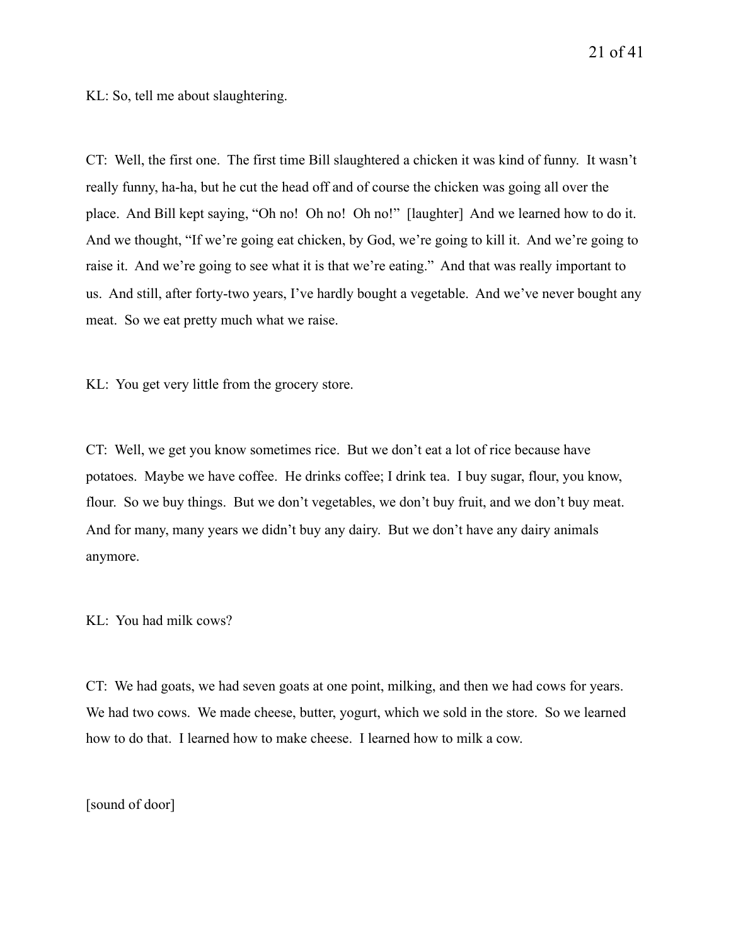KL: So, tell me about slaughtering.

CT: Well, the first one. The first time Bill slaughtered a chicken it was kind of funny. It wasn't really funny, ha-ha, but he cut the head off and of course the chicken was going all over the place. And Bill kept saying, "Oh no! Oh no! Oh no!" [laughter] And we learned how to do it. And we thought, "If we're going eat chicken, by God, we're going to kill it. And we're going to raise it. And we're going to see what it is that we're eating." And that was really important to us. And still, after forty-two years, I've hardly bought a vegetable. And we've never bought any meat. So we eat pretty much what we raise.

KL: You get very little from the grocery store.

CT: Well, we get you know sometimes rice. But we don't eat a lot of rice because have potatoes. Maybe we have coffee. He drinks coffee; I drink tea. I buy sugar, flour, you know, flour. So we buy things. But we don't vegetables, we don't buy fruit, and we don't buy meat. And for many, many years we didn't buy any dairy. But we don't have any dairy animals anymore.

KL: You had milk cows?

CT: We had goats, we had seven goats at one point, milking, and then we had cows for years. We had two cows. We made cheese, butter, yogurt, which we sold in the store. So we learned how to do that. I learned how to make cheese. I learned how to milk a cow.

[sound of door]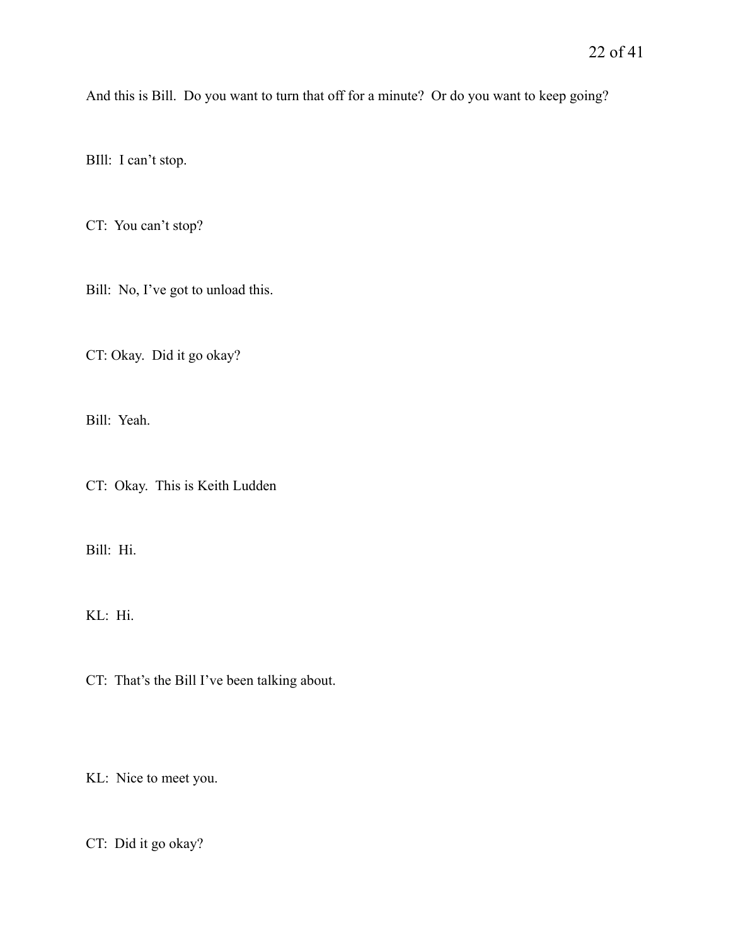And this is Bill. Do you want to turn that off for a minute? Or do you want to keep going?

BIll: I can't stop.

CT: You can't stop?

Bill: No, I've got to unload this.

CT: Okay. Did it go okay?

Bill: Yeah.

CT: Okay. This is Keith Ludden

Bill: Hi.

KL: Hi.

CT: That's the Bill I've been talking about.

KL: Nice to meet you.

CT: Did it go okay?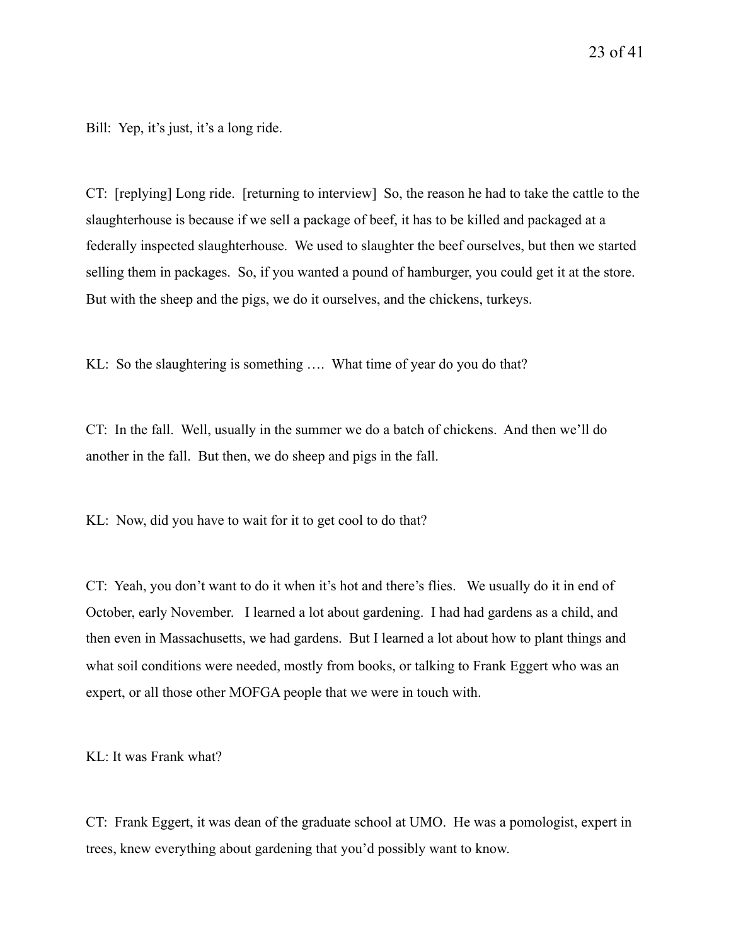Bill: Yep, it's just, it's a long ride.

CT: [replying] Long ride. [returning to interview] So, the reason he had to take the cattle to the slaughterhouse is because if we sell a package of beef, it has to be killed and packaged at a federally inspected slaughterhouse. We used to slaughter the beef ourselves, but then we started selling them in packages. So, if you wanted a pound of hamburger, you could get it at the store. But with the sheep and the pigs, we do it ourselves, and the chickens, turkeys.

KL: So the slaughtering is something …. What time of year do you do that?

CT: In the fall. Well, usually in the summer we do a batch of chickens. And then we'll do another in the fall. But then, we do sheep and pigs in the fall.

KL: Now, did you have to wait for it to get cool to do that?

CT: Yeah, you don't want to do it when it's hot and there's flies. We usually do it in end of October, early November. I learned a lot about gardening. I had had gardens as a child, and then even in Massachusetts, we had gardens. But I learned a lot about how to plant things and what soil conditions were needed, mostly from books, or talking to Frank Eggert who was an expert, or all those other MOFGA people that we were in touch with.

KL: It was Frank what?

CT: Frank Eggert, it was dean of the graduate school at UMO. He was a pomologist, expert in trees, knew everything about gardening that you'd possibly want to know.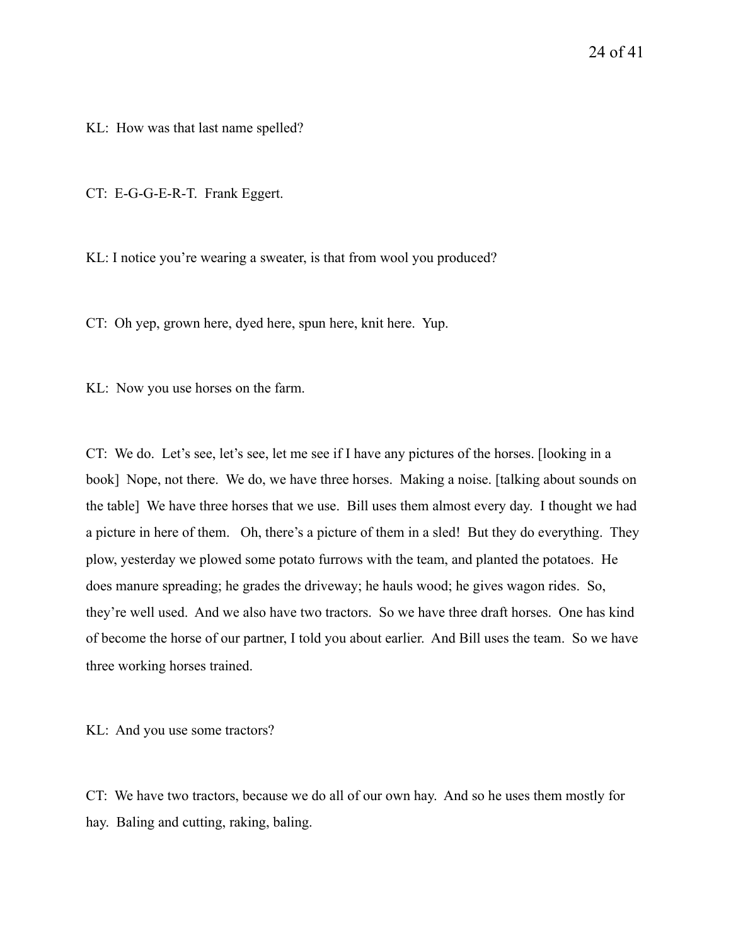KL: How was that last name spelled?

CT: E-G-G-E-R-T. Frank Eggert.

KL: I notice you're wearing a sweater, is that from wool you produced?

CT: Oh yep, grown here, dyed here, spun here, knit here. Yup.

KL: Now you use horses on the farm.

CT: We do. Let's see, let's see, let me see if I have any pictures of the horses. [looking in a book] Nope, not there. We do, we have three horses. Making a noise. [talking about sounds on the table] We have three horses that we use. Bill uses them almost every day. I thought we had a picture in here of them. Oh, there's a picture of them in a sled! But they do everything. They plow, yesterday we plowed some potato furrows with the team, and planted the potatoes. He does manure spreading; he grades the driveway; he hauls wood; he gives wagon rides. So, they're well used. And we also have two tractors. So we have three draft horses. One has kind of become the horse of our partner, I told you about earlier. And Bill uses the team. So we have three working horses trained.

KL: And you use some tractors?

CT: We have two tractors, because we do all of our own hay. And so he uses them mostly for hay. Baling and cutting, raking, baling.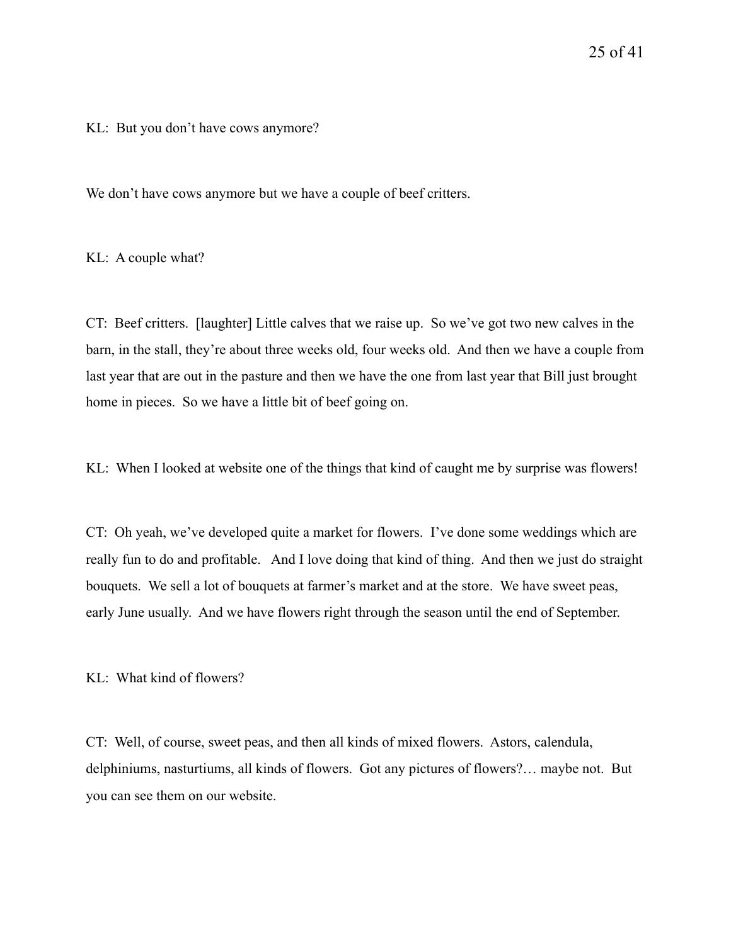KL: But you don't have cows anymore?

We don't have cows anymore but we have a couple of beef critters.

KL: A couple what?

CT: Beef critters. [laughter] Little calves that we raise up. So we've got two new calves in the barn, in the stall, they're about three weeks old, four weeks old. And then we have a couple from last year that are out in the pasture and then we have the one from last year that Bill just brought home in pieces. So we have a little bit of beef going on.

KL: When I looked at website one of the things that kind of caught me by surprise was flowers!

CT: Oh yeah, we've developed quite a market for flowers. I've done some weddings which are really fun to do and profitable. And I love doing that kind of thing. And then we just do straight bouquets. We sell a lot of bouquets at farmer's market and at the store. We have sweet peas, early June usually. And we have flowers right through the season until the end of September.

KL: What kind of flowers?

CT: Well, of course, sweet peas, and then all kinds of mixed flowers. Astors, calendula, delphiniums, nasturtiums, all kinds of flowers. Got any pictures of flowers?… maybe not. But you can see them on our website.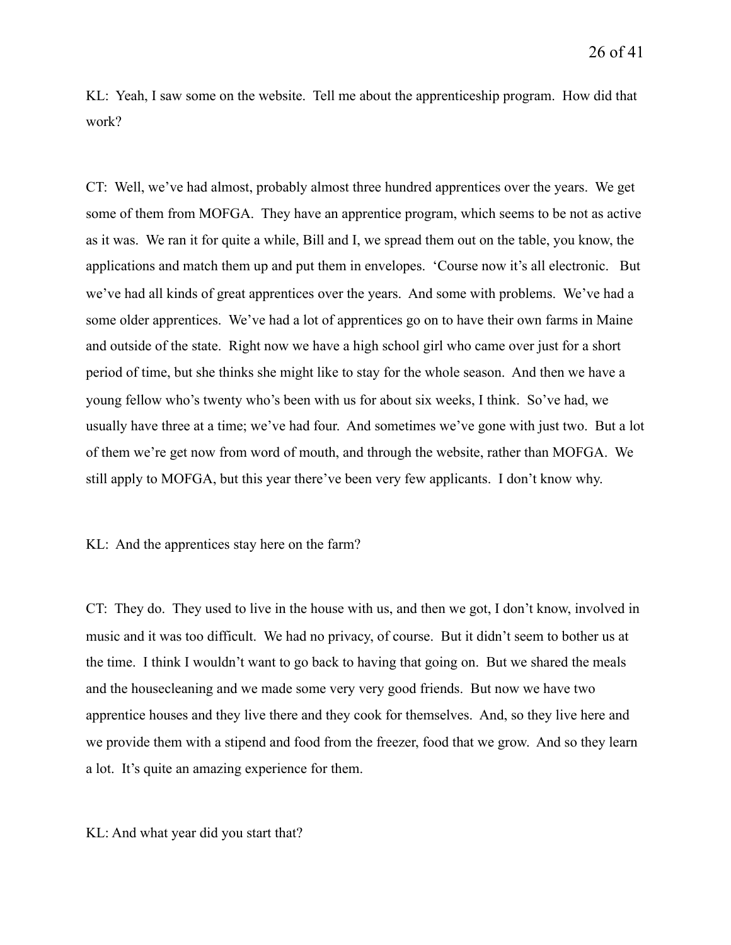KL: Yeah, I saw some on the website. Tell me about the apprenticeship program. How did that work?

CT: Well, we've had almost, probably almost three hundred apprentices over the years. We get some of them from MOFGA. They have an apprentice program, which seems to be not as active as it was. We ran it for quite a while, Bill and I, we spread them out on the table, you know, the applications and match them up and put them in envelopes. 'Course now it's all electronic. But we've had all kinds of great apprentices over the years. And some with problems. We've had a some older apprentices. We've had a lot of apprentices go on to have their own farms in Maine and outside of the state. Right now we have a high school girl who came over just for a short period of time, but she thinks she might like to stay for the whole season. And then we have a young fellow who's twenty who's been with us for about six weeks, I think. So've had, we usually have three at a time; we've had four. And sometimes we've gone with just two. But a lot of them we're get now from word of mouth, and through the website, rather than MOFGA. We still apply to MOFGA, but this year there've been very few applicants. I don't know why.

KL: And the apprentices stay here on the farm?

CT: They do. They used to live in the house with us, and then we got, I don't know, involved in music and it was too difficult. We had no privacy, of course. But it didn't seem to bother us at the time. I think I wouldn't want to go back to having that going on. But we shared the meals and the housecleaning and we made some very very good friends. But now we have two apprentice houses and they live there and they cook for themselves. And, so they live here and we provide them with a stipend and food from the freezer, food that we grow. And so they learn a lot. It's quite an amazing experience for them.

KL: And what year did you start that?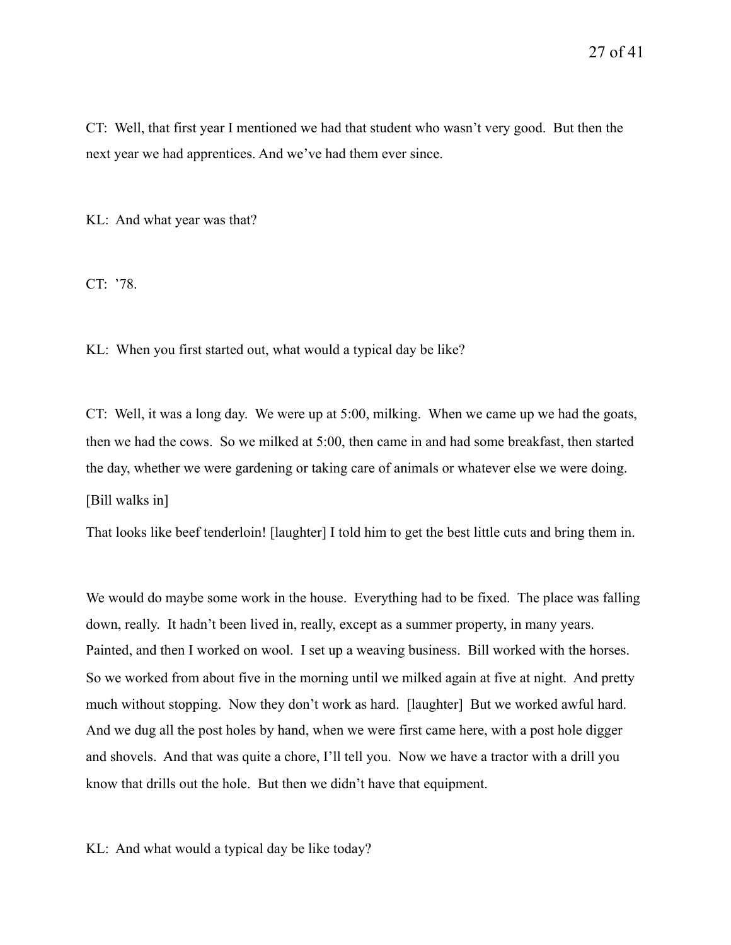CT: Well, that first year I mentioned we had that student who wasn't very good. But then the next year we had apprentices. And we've had them ever since.

KL: And what year was that?

CT: '78.

KL: When you first started out, what would a typical day be like?

CT: Well, it was a long day. We were up at 5:00, milking. When we came up we had the goats, then we had the cows. So we milked at 5:00, then came in and had some breakfast, then started the day, whether we were gardening or taking care of animals or whatever else we were doing. [Bill walks in]

That looks like beef tenderloin! [laughter] I told him to get the best little cuts and bring them in.

We would do maybe some work in the house. Everything had to be fixed. The place was falling down, really. It hadn't been lived in, really, except as a summer property, in many years. Painted, and then I worked on wool. I set up a weaving business. Bill worked with the horses. So we worked from about five in the morning until we milked again at five at night. And pretty much without stopping. Now they don't work as hard. [laughter] But we worked awful hard. And we dug all the post holes by hand, when we were first came here, with a post hole digger and shovels. And that was quite a chore, I'll tell you. Now we have a tractor with a drill you know that drills out the hole. But then we didn't have that equipment.

KL: And what would a typical day be like today?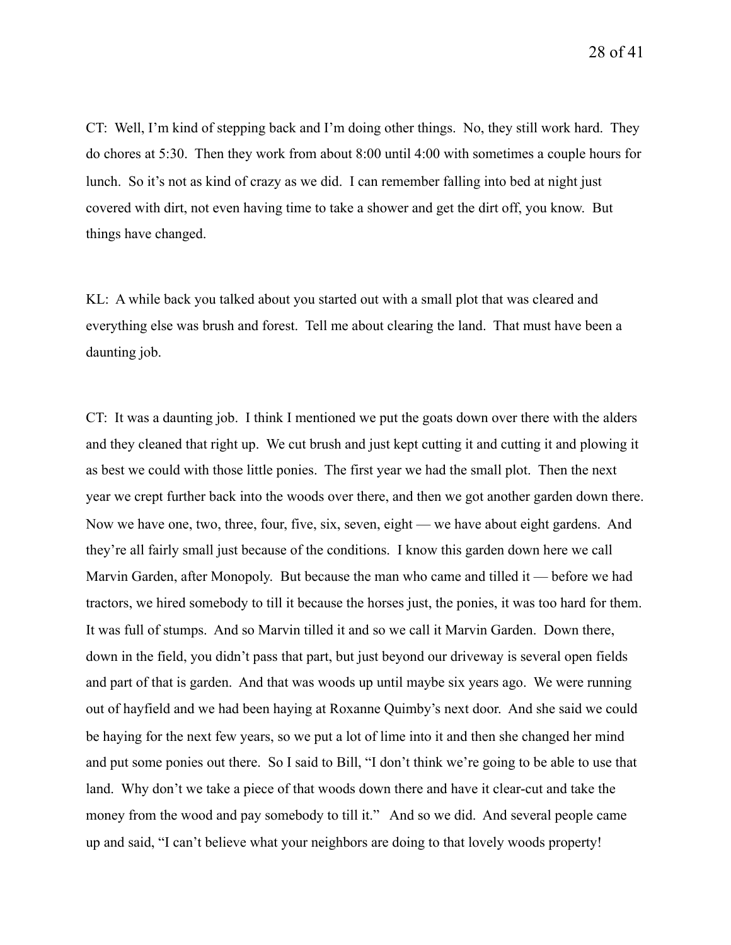CT: Well, I'm kind of stepping back and I'm doing other things. No, they still work hard. They do chores at 5:30. Then they work from about 8:00 until 4:00 with sometimes a couple hours for lunch. So it's not as kind of crazy as we did. I can remember falling into bed at night just covered with dirt, not even having time to take a shower and get the dirt off, you know. But things have changed.

KL: A while back you talked about you started out with a small plot that was cleared and everything else was brush and forest. Tell me about clearing the land. That must have been a daunting job.

CT: It was a daunting job. I think I mentioned we put the goats down over there with the alders and they cleaned that right up. We cut brush and just kept cutting it and cutting it and plowing it as best we could with those little ponies. The first year we had the small plot. Then the next year we crept further back into the woods over there, and then we got another garden down there. Now we have one, two, three, four, five, six, seven, eight — we have about eight gardens. And they're all fairly small just because of the conditions. I know this garden down here we call Marvin Garden, after Monopoly. But because the man who came and tilled it — before we had tractors, we hired somebody to till it because the horses just, the ponies, it was too hard for them. It was full of stumps. And so Marvin tilled it and so we call it Marvin Garden. Down there, down in the field, you didn't pass that part, but just beyond our driveway is several open fields and part of that is garden. And that was woods up until maybe six years ago. We were running out of hayfield and we had been haying at Roxanne Quimby's next door. And she said we could be haying for the next few years, so we put a lot of lime into it and then she changed her mind and put some ponies out there. So I said to Bill, "I don't think we're going to be able to use that land. Why don't we take a piece of that woods down there and have it clear-cut and take the money from the wood and pay somebody to till it." And so we did. And several people came up and said, "I can't believe what your neighbors are doing to that lovely woods property!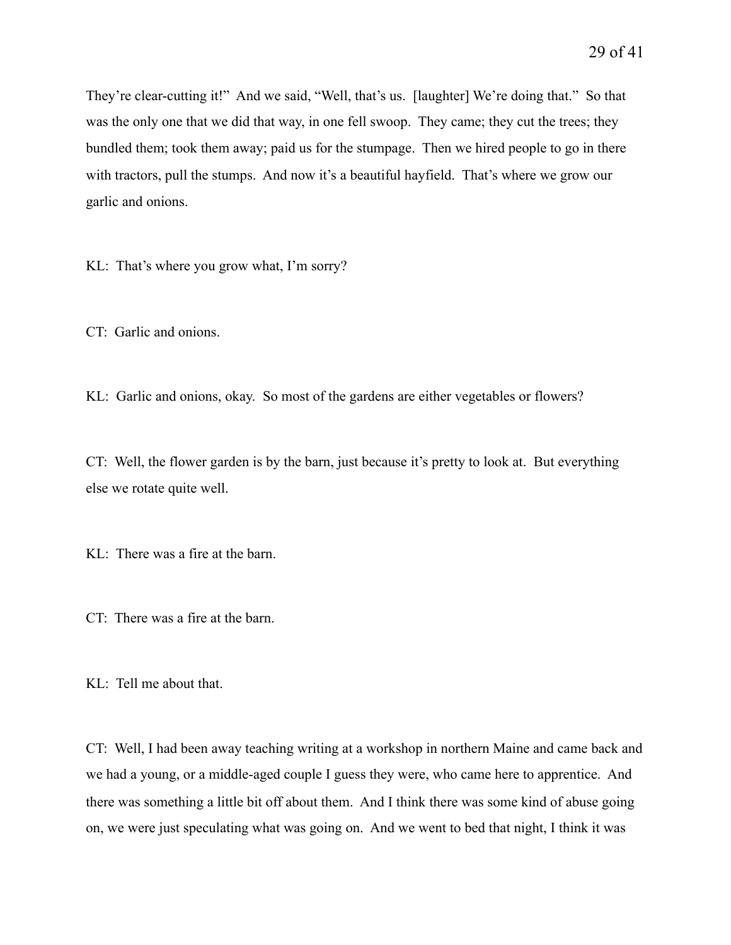They're clear-cutting it!" And we said, "Well, that's us. [laughter] We're doing that." So that was the only one that we did that way, in one fell swoop. They came; they cut the trees; they bundled them; took them away; paid us for the stumpage. Then we hired people to go in there with tractors, pull the stumps. And now it's a beautiful hayfield. That's where we grow our garlic and onions.

KL: That's where you grow what, I'm sorry?

CT: Garlic and onions.

KL: Garlic and onions, okay. So most of the gardens are either vegetables or flowers?

CT: Well, the flower garden is by the barn, just because it's pretty to look at. But everything else we rotate quite well.

KL: There was a fire at the barn.

CT: There was a fire at the barn.

KL: Tell me about that.

CT: Well, I had been away teaching writing at a workshop in northern Maine and came back and we had a young, or a middle-aged couple I guess they were, who came here to apprentice. And there was something a little bit off about them. And I think there was some kind of abuse going on, we were just speculating what was going on. And we went to bed that night, I think it was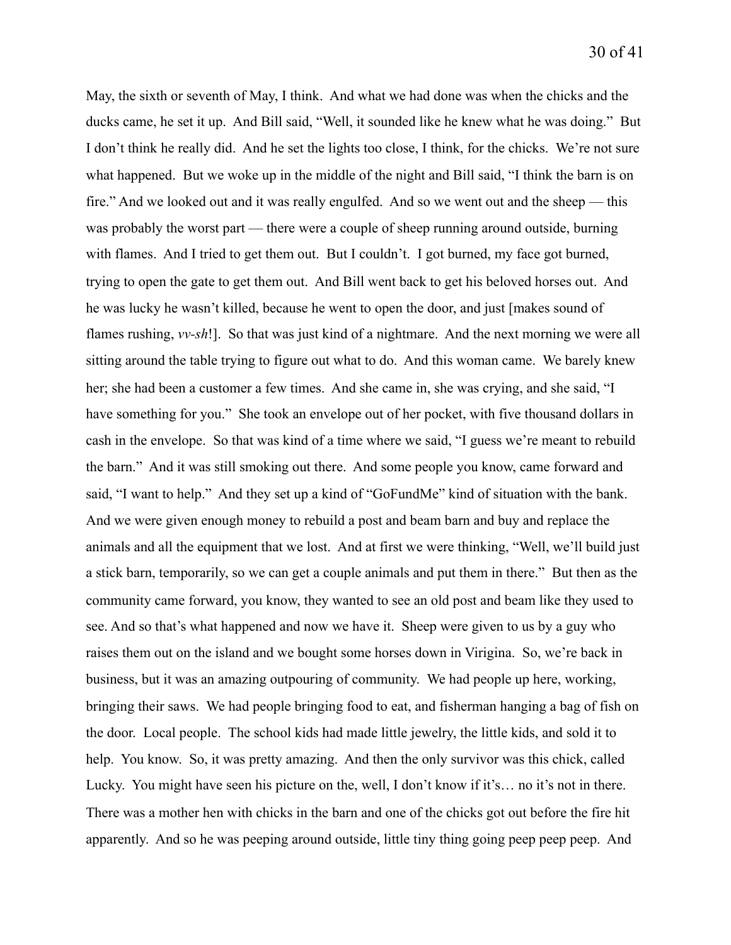May, the sixth or seventh of May, I think. And what we had done was when the chicks and the ducks came, he set it up. And Bill said, "Well, it sounded like he knew what he was doing." But I don't think he really did. And he set the lights too close, I think, for the chicks. We're not sure what happened. But we woke up in the middle of the night and Bill said, "I think the barn is on fire." And we looked out and it was really engulfed. And so we went out and the sheep — this was probably the worst part — there were a couple of sheep running around outside, burning with flames. And I tried to get them out. But I couldn't. I got burned, my face got burned, trying to open the gate to get them out. And Bill went back to get his beloved horses out. And he was lucky he wasn't killed, because he went to open the door, and just [makes sound of flames rushing, *vv-sh*!]. So that was just kind of a nightmare. And the next morning we were all sitting around the table trying to figure out what to do. And this woman came. We barely knew her; she had been a customer a few times. And she came in, she was crying, and she said, "I have something for you." She took an envelope out of her pocket, with five thousand dollars in cash in the envelope. So that was kind of a time where we said, "I guess we're meant to rebuild the barn." And it was still smoking out there. And some people you know, came forward and said, "I want to help." And they set up a kind of "GoFundMe" kind of situation with the bank. And we were given enough money to rebuild a post and beam barn and buy and replace the animals and all the equipment that we lost. And at first we were thinking, "Well, we'll build just a stick barn, temporarily, so we can get a couple animals and put them in there." But then as the community came forward, you know, they wanted to see an old post and beam like they used to see. And so that's what happened and now we have it. Sheep were given to us by a guy who raises them out on the island and we bought some horses down in Virigina. So, we're back in business, but it was an amazing outpouring of community. We had people up here, working, bringing their saws. We had people bringing food to eat, and fisherman hanging a bag of fish on the door. Local people. The school kids had made little jewelry, the little kids, and sold it to help. You know. So, it was pretty amazing. And then the only survivor was this chick, called Lucky. You might have seen his picture on the, well, I don't know if it's… no it's not in there. There was a mother hen with chicks in the barn and one of the chicks got out before the fire hit apparently. And so he was peeping around outside, little tiny thing going peep peep peep. And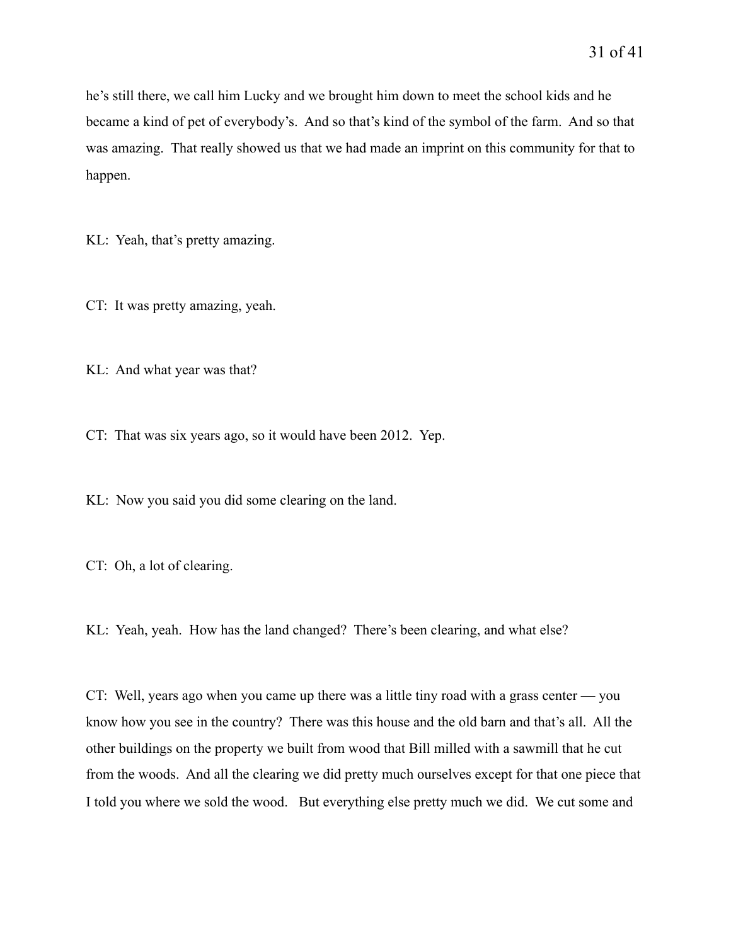he's still there, we call him Lucky and we brought him down to meet the school kids and he became a kind of pet of everybody's. And so that's kind of the symbol of the farm. And so that was amazing. That really showed us that we had made an imprint on this community for that to happen.

KL: Yeah, that's pretty amazing.

CT: It was pretty amazing, yeah.

KL: And what year was that?

CT: That was six years ago, so it would have been 2012. Yep.

KL: Now you said you did some clearing on the land.

CT: Oh, a lot of clearing.

KL: Yeah, yeah. How has the land changed? There's been clearing, and what else?

CT: Well, years ago when you came up there was a little tiny road with a grass center — you know how you see in the country? There was this house and the old barn and that's all. All the other buildings on the property we built from wood that Bill milled with a sawmill that he cut from the woods. And all the clearing we did pretty much ourselves except for that one piece that I told you where we sold the wood. But everything else pretty much we did. We cut some and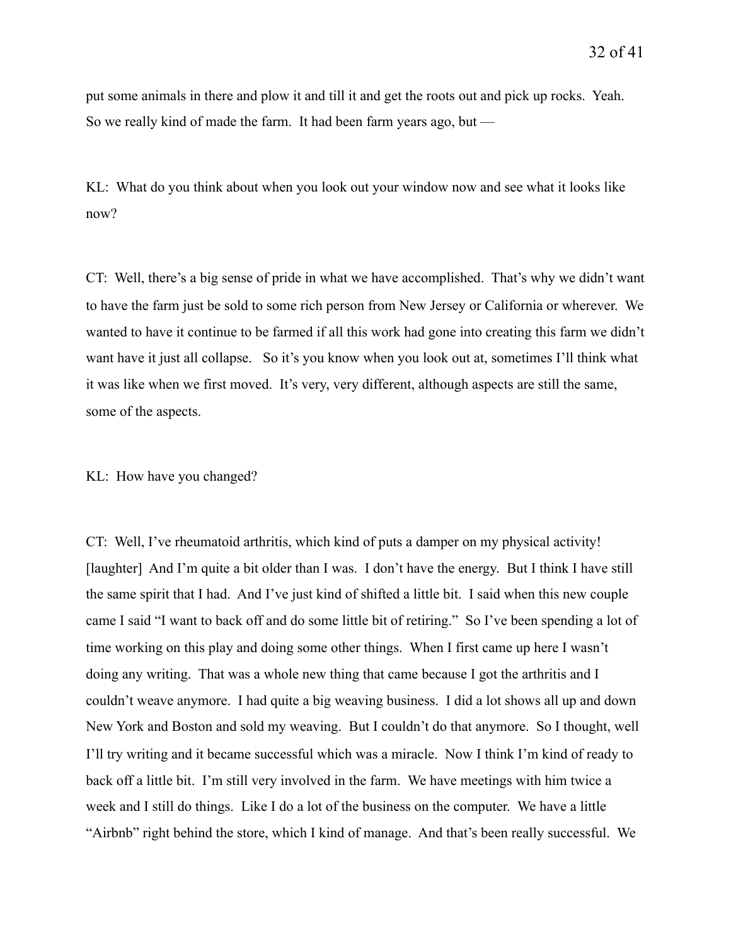put some animals in there and plow it and till it and get the roots out and pick up rocks. Yeah. So we really kind of made the farm. It had been farm years ago, but  $-$ 

KL: What do you think about when you look out your window now and see what it looks like now?

CT: Well, there's a big sense of pride in what we have accomplished. That's why we didn't want to have the farm just be sold to some rich person from New Jersey or California or wherever. We wanted to have it continue to be farmed if all this work had gone into creating this farm we didn't want have it just all collapse. So it's you know when you look out at, sometimes I'll think what it was like when we first moved. It's very, very different, although aspects are still the same, some of the aspects.

## KL: How have you changed?

CT: Well, I've rheumatoid arthritis, which kind of puts a damper on my physical activity! [laughter] And I'm quite a bit older than I was. I don't have the energy. But I think I have still the same spirit that I had. And I've just kind of shifted a little bit. I said when this new couple came I said "I want to back off and do some little bit of retiring." So I've been spending a lot of time working on this play and doing some other things. When I first came up here I wasn't doing any writing. That was a whole new thing that came because I got the arthritis and I couldn't weave anymore. I had quite a big weaving business. I did a lot shows all up and down New York and Boston and sold my weaving. But I couldn't do that anymore. So I thought, well I'll try writing and it became successful which was a miracle. Now I think I'm kind of ready to back off a little bit. I'm still very involved in the farm. We have meetings with him twice a week and I still do things. Like I do a lot of the business on the computer. We have a little "Airbnb" right behind the store, which I kind of manage. And that's been really successful. We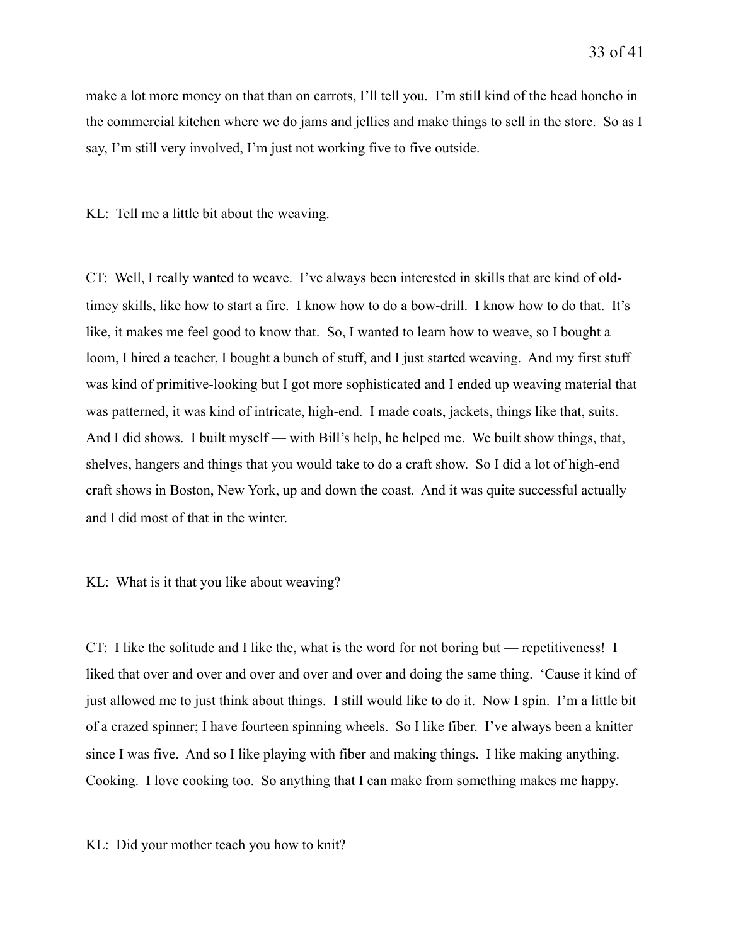make a lot more money on that than on carrots, I'll tell you. I'm still kind of the head honcho in the commercial kitchen where we do jams and jellies and make things to sell in the store. So as I say, I'm still very involved, I'm just not working five to five outside.

KL: Tell me a little bit about the weaving.

CT: Well, I really wanted to weave. I've always been interested in skills that are kind of oldtimey skills, like how to start a fire. I know how to do a bow-drill. I know how to do that. It's like, it makes me feel good to know that. So, I wanted to learn how to weave, so I bought a loom, I hired a teacher, I bought a bunch of stuff, and I just started weaving. And my first stuff was kind of primitive-looking but I got more sophisticated and I ended up weaving material that was patterned, it was kind of intricate, high-end. I made coats, jackets, things like that, suits. And I did shows. I built myself — with Bill's help, he helped me. We built show things, that, shelves, hangers and things that you would take to do a craft show. So I did a lot of high-end craft shows in Boston, New York, up and down the coast. And it was quite successful actually and I did most of that in the winter.

KL: What is it that you like about weaving?

CT: I like the solitude and I like the, what is the word for not boring but — repetitiveness! I liked that over and over and over and over and over and doing the same thing. 'Cause it kind of just allowed me to just think about things. I still would like to do it. Now I spin. I'm a little bit of a crazed spinner; I have fourteen spinning wheels. So I like fiber. I've always been a knitter since I was five. And so I like playing with fiber and making things. I like making anything. Cooking. I love cooking too. So anything that I can make from something makes me happy.

KL: Did your mother teach you how to knit?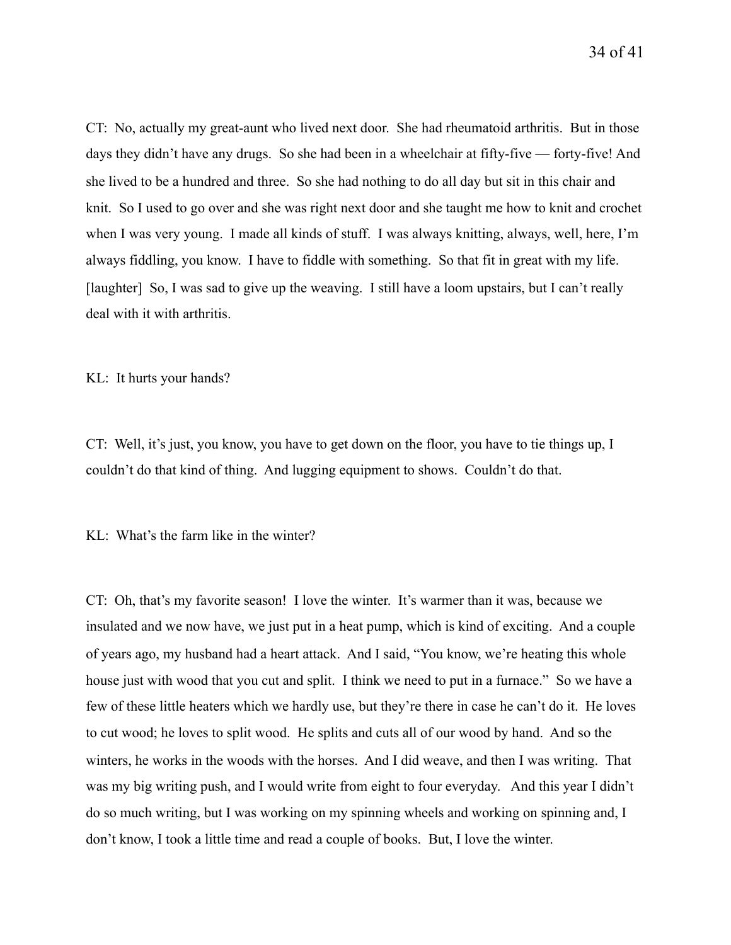CT: No, actually my great-aunt who lived next door. She had rheumatoid arthritis. But in those days they didn't have any drugs. So she had been in a wheelchair at fifty-five — forty-five! And she lived to be a hundred and three. So she had nothing to do all day but sit in this chair and knit. So I used to go over and she was right next door and she taught me how to knit and crochet when I was very young. I made all kinds of stuff. I was always knitting, always, well, here, I'm always fiddling, you know. I have to fiddle with something. So that fit in great with my life. [laughter] So, I was sad to give up the weaving. I still have a loom upstairs, but I can't really deal with it with arthritis.

KL: It hurts your hands?

CT: Well, it's just, you know, you have to get down on the floor, you have to tie things up, I couldn't do that kind of thing. And lugging equipment to shows. Couldn't do that.

KL: What's the farm like in the winter?

CT: Oh, that's my favorite season! I love the winter. It's warmer than it was, because we insulated and we now have, we just put in a heat pump, which is kind of exciting. And a couple of years ago, my husband had a heart attack. And I said, "You know, we're heating this whole house just with wood that you cut and split. I think we need to put in a furnace." So we have a few of these little heaters which we hardly use, but they're there in case he can't do it. He loves to cut wood; he loves to split wood. He splits and cuts all of our wood by hand. And so the winters, he works in the woods with the horses. And I did weave, and then I was writing. That was my big writing push, and I would write from eight to four everyday. And this year I didn't do so much writing, but I was working on my spinning wheels and working on spinning and, I don't know, I took a little time and read a couple of books. But, I love the winter.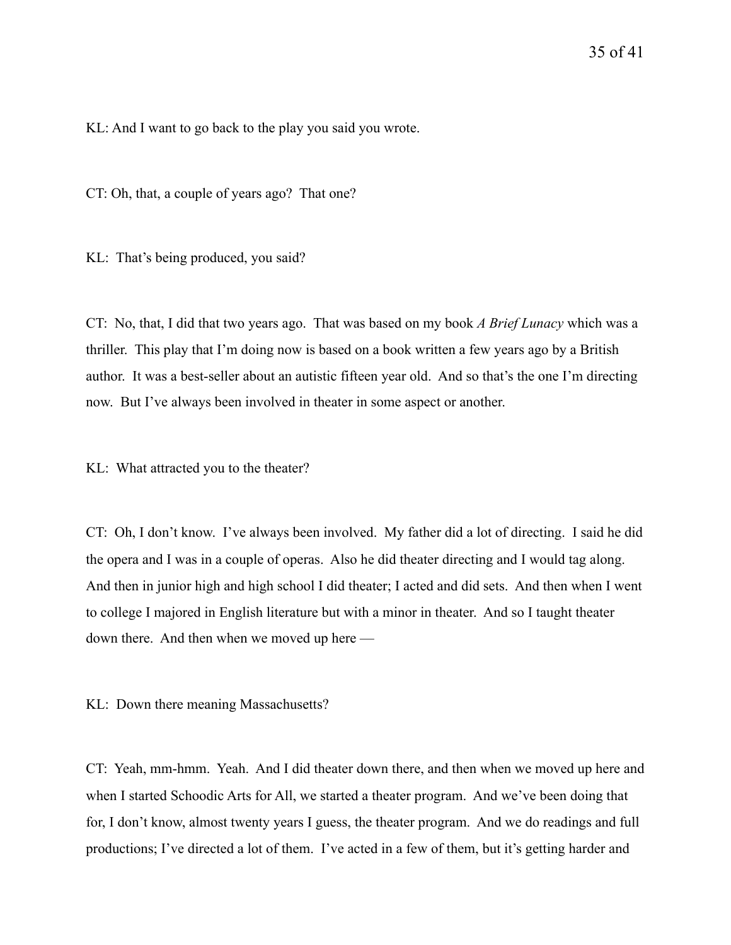KL: And I want to go back to the play you said you wrote.

CT: Oh, that, a couple of years ago? That one?

KL: That's being produced, you said?

CT: No, that, I did that two years ago. That was based on my book *A Brief Lunacy* which was a thriller. This play that I'm doing now is based on a book written a few years ago by a British author. It was a best-seller about an autistic fifteen year old. And so that's the one I'm directing now. But I've always been involved in theater in some aspect or another.

KL: What attracted you to the theater?

CT: Oh, I don't know. I've always been involved. My father did a lot of directing. I said he did the opera and I was in a couple of operas. Also he did theater directing and I would tag along. And then in junior high and high school I did theater; I acted and did sets. And then when I went to college I majored in English literature but with a minor in theater. And so I taught theater down there. And then when we moved up here —

KL: Down there meaning Massachusetts?

CT: Yeah, mm-hmm. Yeah. And I did theater down there, and then when we moved up here and when I started Schoodic Arts for All, we started a theater program. And we've been doing that for, I don't know, almost twenty years I guess, the theater program. And we do readings and full productions; I've directed a lot of them. I've acted in a few of them, but it's getting harder and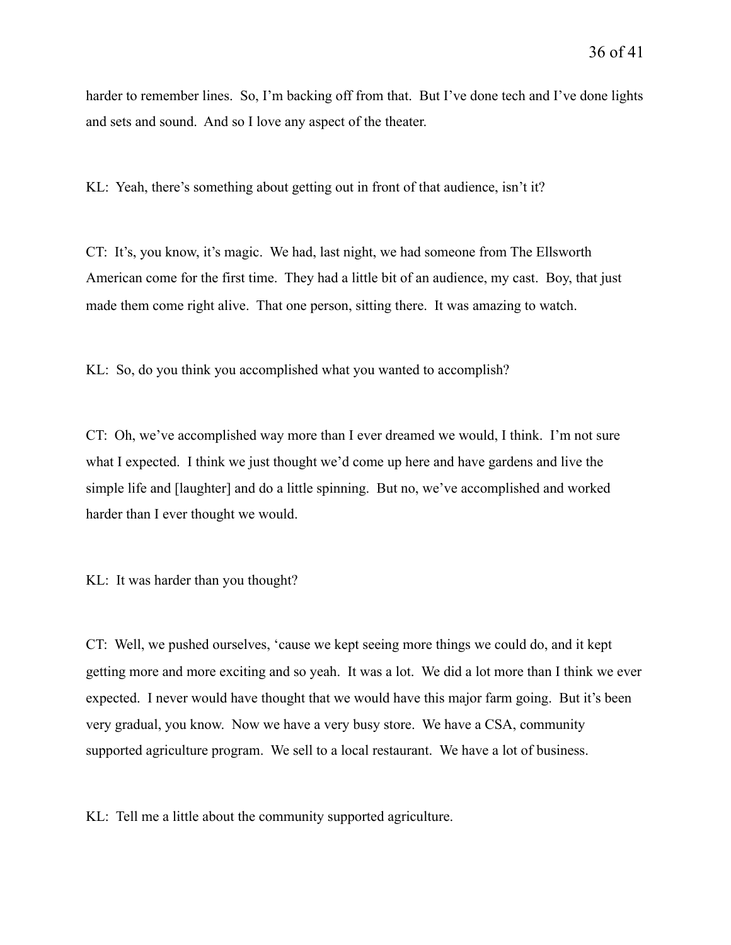harder to remember lines. So, I'm backing off from that. But I've done tech and I've done lights and sets and sound. And so I love any aspect of the theater.

KL: Yeah, there's something about getting out in front of that audience, isn't it?

CT: It's, you know, it's magic. We had, last night, we had someone from The Ellsworth American come for the first time. They had a little bit of an audience, my cast. Boy, that just made them come right alive. That one person, sitting there. It was amazing to watch.

KL: So, do you think you accomplished what you wanted to accomplish?

CT: Oh, we've accomplished way more than I ever dreamed we would, I think. I'm not sure what I expected. I think we just thought we'd come up here and have gardens and live the simple life and [laughter] and do a little spinning. But no, we've accomplished and worked harder than I ever thought we would.

KL: It was harder than you thought?

CT: Well, we pushed ourselves, 'cause we kept seeing more things we could do, and it kept getting more and more exciting and so yeah. It was a lot. We did a lot more than I think we ever expected. I never would have thought that we would have this major farm going. But it's been very gradual, you know. Now we have a very busy store. We have a CSA, community supported agriculture program. We sell to a local restaurant. We have a lot of business.

KL: Tell me a little about the community supported agriculture.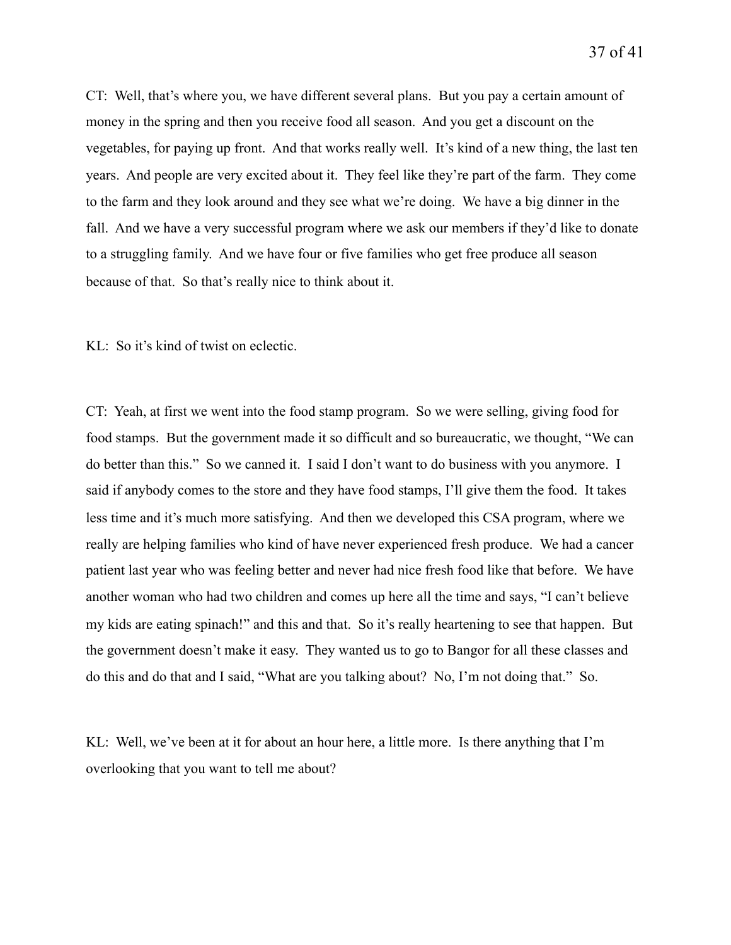CT: Well, that's where you, we have different several plans. But you pay a certain amount of money in the spring and then you receive food all season. And you get a discount on the vegetables, for paying up front. And that works really well. It's kind of a new thing, the last ten years. And people are very excited about it. They feel like they're part of the farm. They come to the farm and they look around and they see what we're doing. We have a big dinner in the fall. And we have a very successful program where we ask our members if they'd like to donate to a struggling family. And we have four or five families who get free produce all season because of that. So that's really nice to think about it.

KL: So it's kind of twist on eclectic.

CT: Yeah, at first we went into the food stamp program. So we were selling, giving food for food stamps. But the government made it so difficult and so bureaucratic, we thought, "We can do better than this." So we canned it. I said I don't want to do business with you anymore. I said if anybody comes to the store and they have food stamps, I'll give them the food. It takes less time and it's much more satisfying. And then we developed this CSA program, where we really are helping families who kind of have never experienced fresh produce. We had a cancer patient last year who was feeling better and never had nice fresh food like that before. We have another woman who had two children and comes up here all the time and says, "I can't believe my kids are eating spinach!" and this and that. So it's really heartening to see that happen. But the government doesn't make it easy. They wanted us to go to Bangor for all these classes and do this and do that and I said, "What are you talking about? No, I'm not doing that." So.

KL: Well, we've been at it for about an hour here, a little more. Is there anything that I'm overlooking that you want to tell me about?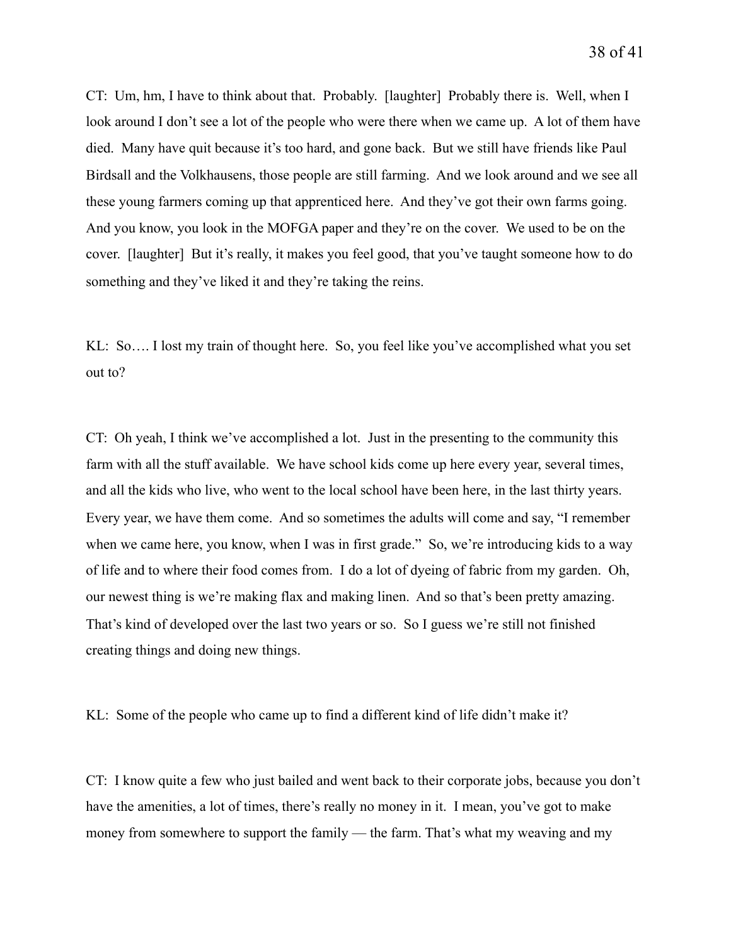CT: Um, hm, I have to think about that. Probably. [laughter] Probably there is. Well, when I look around I don't see a lot of the people who were there when we came up. A lot of them have died. Many have quit because it's too hard, and gone back. But we still have friends like Paul Birdsall and the Volkhausens, those people are still farming. And we look around and we see all these young farmers coming up that apprenticed here. And they've got their own farms going. And you know, you look in the MOFGA paper and they're on the cover. We used to be on the cover. [laughter] But it's really, it makes you feel good, that you've taught someone how to do something and they've liked it and they're taking the reins.

KL: So…. I lost my train of thought here. So, you feel like you've accomplished what you set out to?

CT: Oh yeah, I think we've accomplished a lot. Just in the presenting to the community this farm with all the stuff available. We have school kids come up here every year, several times, and all the kids who live, who went to the local school have been here, in the last thirty years. Every year, we have them come. And so sometimes the adults will come and say, "I remember when we came here, you know, when I was in first grade." So, we're introducing kids to a way of life and to where their food comes from. I do a lot of dyeing of fabric from my garden. Oh, our newest thing is we're making flax and making linen. And so that's been pretty amazing. That's kind of developed over the last two years or so. So I guess we're still not finished creating things and doing new things.

KL: Some of the people who came up to find a different kind of life didn't make it?

CT: I know quite a few who just bailed and went back to their corporate jobs, because you don't have the amenities, a lot of times, there's really no money in it. I mean, you've got to make money from somewhere to support the family — the farm. That's what my weaving and my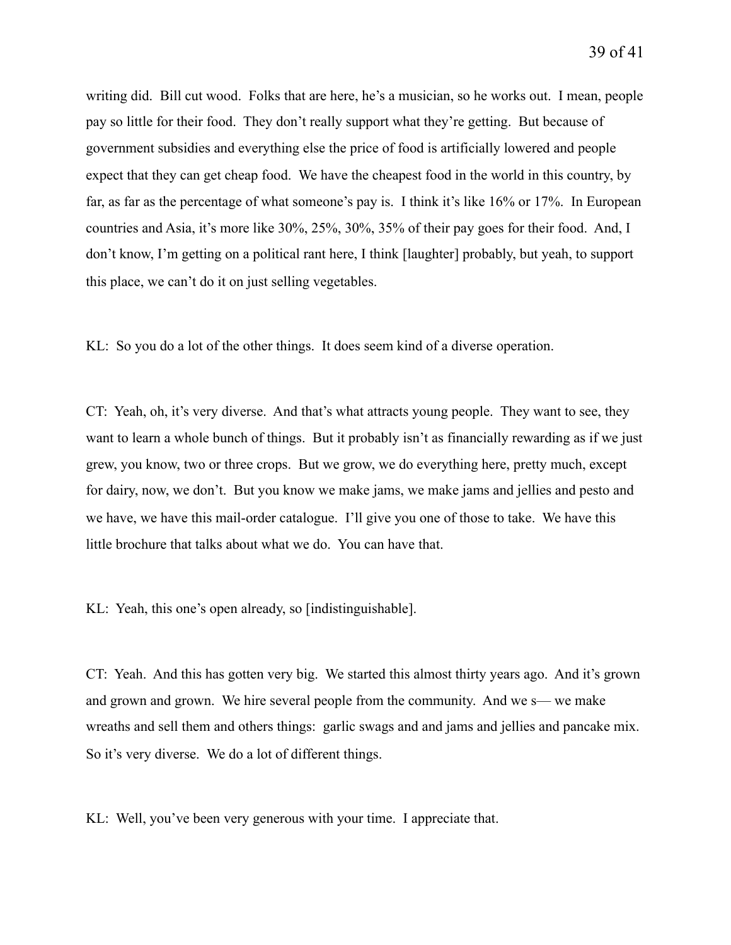writing did. Bill cut wood. Folks that are here, he's a musician, so he works out. I mean, people pay so little for their food. They don't really support what they're getting. But because of government subsidies and everything else the price of food is artificially lowered and people expect that they can get cheap food. We have the cheapest food in the world in this country, by far, as far as the percentage of what someone's pay is. I think it's like 16% or 17%. In European countries and Asia, it's more like 30%, 25%, 30%, 35% of their pay goes for their food. And, I don't know, I'm getting on a political rant here, I think [laughter] probably, but yeah, to support this place, we can't do it on just selling vegetables.

KL: So you do a lot of the other things. It does seem kind of a diverse operation.

CT: Yeah, oh, it's very diverse. And that's what attracts young people. They want to see, they want to learn a whole bunch of things. But it probably isn't as financially rewarding as if we just grew, you know, two or three crops. But we grow, we do everything here, pretty much, except for dairy, now, we don't. But you know we make jams, we make jams and jellies and pesto and we have, we have this mail-order catalogue. I'll give you one of those to take. We have this little brochure that talks about what we do. You can have that.

KL: Yeah, this one's open already, so [indistinguishable].

CT: Yeah. And this has gotten very big. We started this almost thirty years ago. And it's grown and grown and grown. We hire several people from the community. And we s— we make wreaths and sell them and others things: garlic swags and and jams and jellies and pancake mix. So it's very diverse. We do a lot of different things.

KL: Well, you've been very generous with your time. I appreciate that.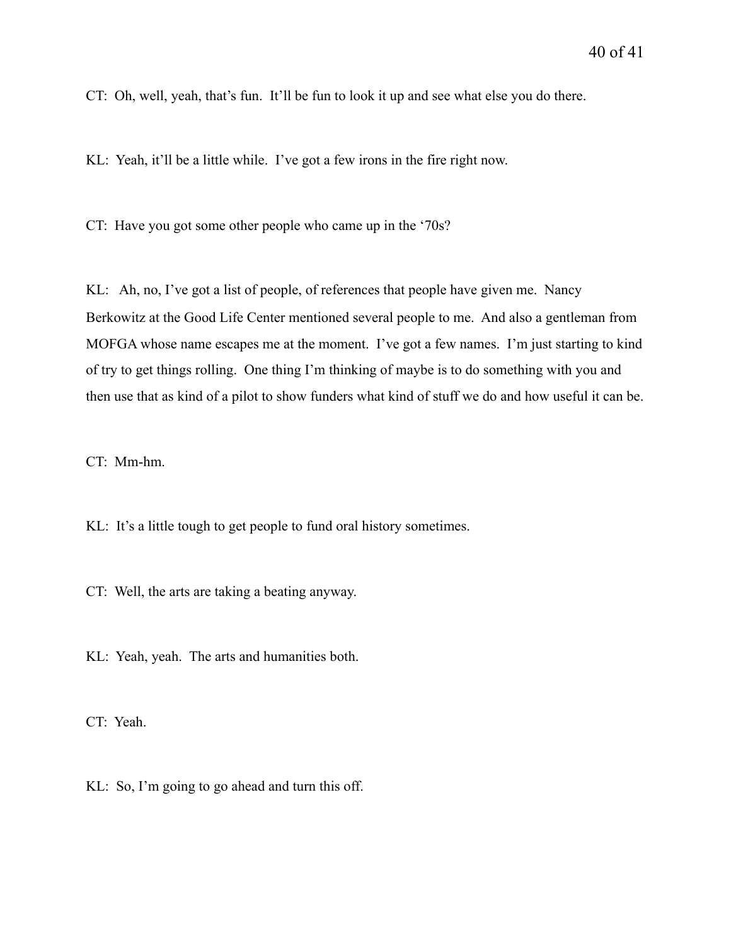CT: Oh, well, yeah, that's fun. It'll be fun to look it up and see what else you do there.

KL: Yeah, it'll be a little while. I've got a few irons in the fire right now.

CT: Have you got some other people who came up in the '70s?

KL: Ah, no, I've got a list of people, of references that people have given me. Nancy Berkowitz at the Good Life Center mentioned several people to me. And also a gentleman from MOFGA whose name escapes me at the moment. I've got a few names. I'm just starting to kind of try to get things rolling. One thing I'm thinking of maybe is to do something with you and then use that as kind of a pilot to show funders what kind of stuff we do and how useful it can be.

CT: Mm-hm.

KL: It's a little tough to get people to fund oral history sometimes.

CT: Well, the arts are taking a beating anyway.

KL: Yeah, yeah. The arts and humanities both.

CT: Yeah.

KL: So, I'm going to go ahead and turn this off.